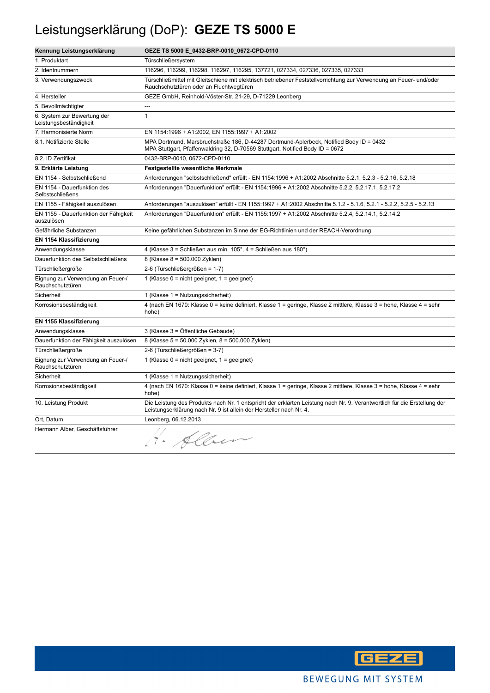# Leistungserklärung (DoP): **GEZE TS 5000 E**

| Kennung Leistungserklärung                            | GEZE TS 5000 E_0432-BRP-0010_0672-CPD-0110                                                                                                                                                      |
|-------------------------------------------------------|-------------------------------------------------------------------------------------------------------------------------------------------------------------------------------------------------|
| 1. Produktart                                         | Türschließersystem                                                                                                                                                                              |
| 2. Identnummern                                       | 116296, 116299, 116298, 116297, 116295, 137721, 027334, 027336, 027335, 027333                                                                                                                  |
| 3. Verwendungszweck                                   | Türschließmittel mit Gleitschiene mit elektrisch betriebener Feststellvorrichtung zur Verwendung an Feuer- und/oder<br>Rauchschutztüren oder an Fluchtwegtüren                                  |
| 4. Hersteller                                         | GEZE GmbH, Reinhold-Vöster-Str. 21-29, D-71229 Leonberg                                                                                                                                         |
| 5. Bevollmächtigter                                   | $\sim$                                                                                                                                                                                          |
| 6. System zur Bewertung der<br>Leistungsbeständigkeit | $\mathbf{1}$                                                                                                                                                                                    |
| 7. Harmonisierte Norm                                 | EN 1154:1996 + A1:2002, EN 1155:1997 + A1:2002                                                                                                                                                  |
| 8.1. Notifizierte Stelle                              | MPA Dortmund, Marsbruchstraße 186, D-44287 Dortmund-Aplerbeck, Notified Body ID = 0432<br>MPA Stuttgart, Pfaffenwaldring 32, D-70569 Stuttgart, Notified Body ID = 0672                         |
| 8.2. ID Zertifikat                                    | 0432-BRP-0010, 0672-CPD-0110                                                                                                                                                                    |
| 9. Erklärte Leistung                                  | <b>Festgestellte wesentliche Merkmale</b>                                                                                                                                                       |
| EN 1154 - Selbstschließend                            | Anforderungen "selbstschließend" erfüllt - EN 1154:1996 + A1:2002 Abschnitte 5.2.1, 5.2.3 - 5.2.16, 5.2.18                                                                                      |
| EN 1154 - Dauerfunktion des<br>Selbstschließens       | Anforderungen "Dauerfunktion" erfüllt - EN 1154:1996 + A1:2002 Abschnitte 5.2.2, 5.2.17.1, 5.2.17.2                                                                                             |
| EN 1155 - Fähigkeit auszulösen                        | Anforderungen "auszulösen" erfüllt - EN 1155:1997 + A1:2002 Abschnitte 5.1.2 - 5.1.6, 5.2.1 - 5.2.2, 5.2.5 - 5.2.13                                                                             |
| EN 1155 - Dauerfunktion der Fähigkeit<br>auszulösen   | Anforderungen "Dauerfunktion" erfüllt - EN 1155:1997 + A1:2002 Abschnitte 5.2.4, 5.2.14.1, 5.2.14.2                                                                                             |
| Gefährliche Substanzen                                | Keine gefährlichen Substanzen im Sinne der EG-Richtlinien und der REACH-Verordnung                                                                                                              |
| <b>EN 1154 Klassifizierung</b>                        |                                                                                                                                                                                                 |
| Anwendungsklasse                                      | 4 (Klasse 3 = Schließen aus min. 105°, 4 = Schließen aus 180°)                                                                                                                                  |
| Dauerfunktion des Selbstschließens                    | 8 (Klasse 8 = 500.000 Zyklen)                                                                                                                                                                   |
| Türschließergröße                                     | 2-6 (Türschließergrößen = 1-7)                                                                                                                                                                  |
| Eignung zur Verwendung an Feuer-/<br>Rauchschutztüren | 1 (Klasse $0 = \text{nicht}$ geeignet, $1 = \text{geeignet}$ )                                                                                                                                  |
| Sicherheit                                            | 1 (Klasse 1 = Nutzungssicherheit)                                                                                                                                                               |
| Korrosionsbeständigkeit                               | 4 (nach EN 1670: Klasse 0 = keine definiert, Klasse 1 = geringe, Klasse 2 mittlere, Klasse 3 = hohe, Klasse 4 = sehr<br>hohe)                                                                   |
| EN 1155 Klassifizierung                               |                                                                                                                                                                                                 |
| Anwendungsklasse                                      | 3 (Klasse 3 = Öffentliche Gebäude)                                                                                                                                                              |
| Dauerfunktion der Fähigkeit auszulösen                | 8 (Klasse 5 = 50.000 Zyklen, 8 = 500.000 Zyklen)                                                                                                                                                |
| Türschließergröße                                     | 2-6 (Türschließergrößen = 3-7)                                                                                                                                                                  |
| Eignung zur Verwendung an Feuer-/<br>Rauchschutztüren | 1 (Klasse $0 = \text{nicht}$ geeignet, $1 = \text{geeignet}$ )                                                                                                                                  |
| Sicherheit                                            | 1 (Klasse $1 =$ Nutzungssicherheit)                                                                                                                                                             |
| Korrosionsbeständigkeit                               | 4 (nach EN 1670: Klasse 0 = keine definiert, Klasse 1 = geringe, Klasse 2 mittlere, Klasse 3 = hohe, Klasse 4 = sehr<br>hohe)                                                                   |
| 10. Leistung Produkt                                  | Die Leistung des Produkts nach Nr. 1 entspricht der erklärten Leistung nach Nr. 9. Verantwortlich für die Erstellung der<br>Leistungserklärung nach Nr. 9 ist allein der Hersteller nach Nr. 4. |
| Ort, Datum                                            | Leonberg, 06.12.2013                                                                                                                                                                            |
| Hermann Alber, Geschäftsführer                        | 1. Alben                                                                                                                                                                                        |

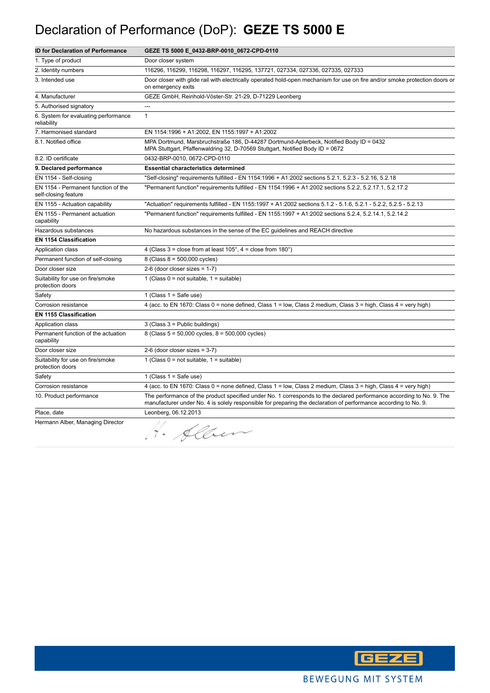# Declaration of Performance (DoP): **GEZE TS 5000 E**

| <b>ID for Declaration of Performance</b>                    | GEZE TS 5000 E_0432-BRP-0010_0672-CPD-0110                                                                                                                                                                                              |
|-------------------------------------------------------------|-----------------------------------------------------------------------------------------------------------------------------------------------------------------------------------------------------------------------------------------|
| 1. Type of product                                          | Door closer system                                                                                                                                                                                                                      |
| 2. Identity numbers                                         | 116296, 116299, 116298, 116297, 116295, 137721, 027334, 027336, 027335, 027333                                                                                                                                                          |
| 3. Intended use                                             | Door closer with glide rail with electrically operated hold-open mechanism for use on fire and/or smoke protection doors or<br>on emergency exits                                                                                       |
| 4. Manufacturer                                             | GEZE GmbH, Reinhold-Vöster-Str. 21-29, D-71229 Leonberg                                                                                                                                                                                 |
| 5. Authorised signatory                                     | ---                                                                                                                                                                                                                                     |
| 6. System for evaluating performance<br>reliability         | $\mathbf{1}$                                                                                                                                                                                                                            |
| 7. Harmonised standard                                      | EN 1154:1996 + A1:2002, EN 1155:1997 + A1:2002                                                                                                                                                                                          |
| 8.1. Notified office                                        | MPA Dortmund, Marsbruchstraße 186, D-44287 Dortmund-Aplerbeck, Notified Body ID = 0432<br>MPA Stuttgart, Pfaffenwaldring 32, D-70569 Stuttgart, Notified Body ID = 0672                                                                 |
| 8.2. ID certificate                                         | 0432-BRP-0010, 0672-CPD-0110                                                                                                                                                                                                            |
| 9. Declared performance                                     | <b>Essential characteristics determined</b>                                                                                                                                                                                             |
| EN 1154 - Self-closing                                      | Self-closing" requirements fulfilled - EN 1154:1996 + A1:2002 sections 5.2.1, 5.2.3 - 5.2.16, 5.2.18"                                                                                                                                   |
| EN 1154 - Permanent function of the<br>self-closing feature | "Permanent function" requirements fulfilled - EN 1154:1996 + A1:2002 sections 5.2.2, 5.2.17.1, 5.2.17.2                                                                                                                                 |
| EN 1155 - Actuation capability                              | "Actuation" requirements fulfilled - EN 1155:1997 + A1:2002 sections 5.1.2 - 5.1.6, 5.2.1 - 5.2.2, 5.2.5 - 5.2.13                                                                                                                       |
| EN 1155 - Permanent actuation<br>capability                 | "Permanent function" requirements fulfilled - EN 1155:1997 + A1:2002 sections 5.2.4, 5.2.14.1, 5.2.14.2                                                                                                                                 |
| Hazardous substances                                        | No hazardous substances in the sense of the EC guidelines and REACH directive                                                                                                                                                           |
| <b>EN 1154 Classification</b>                               |                                                                                                                                                                                                                                         |
| Application class                                           | 4 (Class $3 =$ close from at least $105^\circ$ , $4 =$ close from $180^\circ$ )                                                                                                                                                         |
| Permanent function of self-closing                          | 8 (Class $8 = 500,000$ cycles)                                                                                                                                                                                                          |
| Door closer size                                            | $2-6$ (door closer sizes = 1-7)                                                                                                                                                                                                         |
| Suitability for use on fire/smoke<br>protection doors       | 1 (Class $0 = not suitable$ , $1 = suitable$ )                                                                                                                                                                                          |
| Safety                                                      | 1 (Class $1 =$ Safe use)                                                                                                                                                                                                                |
| Corrosion resistance                                        | 4 (acc. to EN 1670: Class 0 = none defined, Class 1 = low, Class 2 medium, Class 3 = high, Class 4 = very high)                                                                                                                         |
| <b>EN 1155 Classification</b>                               |                                                                                                                                                                                                                                         |
| Application class                                           | 3 (Class 3 = Public buildings)                                                                                                                                                                                                          |
| Permanent function of the actuation<br>capability           | 8 (Class $5 = 50,000$ cycles, $8 = 500,000$ cycles)                                                                                                                                                                                     |
| Door closer size                                            | $2-6$ (door closer sizes = $3-7$ )                                                                                                                                                                                                      |
| Suitability for use on fire/smoke<br>protection doors       | 1 (Class $0 = not suitable$ , $1 = suitable$ )                                                                                                                                                                                          |
| Safety                                                      | 1 (Class $1 =$ Safe use)                                                                                                                                                                                                                |
| Corrosion resistance                                        | 4 (acc. to EN 1670: Class 0 = none defined, Class 1 = low, Class 2 medium, Class 3 = high, Class 4 = very high)                                                                                                                         |
| 10. Product performance                                     | The performance of the product specified under No. 1 corresponds to the declared performance according to No. 9. The<br>manufacturer under No. 4 is solely responsible for preparing the declaration of performance according to No. 9. |
| Place, date                                                 | Leonberg, 06.12.2013                                                                                                                                                                                                                    |
| Hermann Alber, Managing Director                            | · Alber                                                                                                                                                                                                                                 |

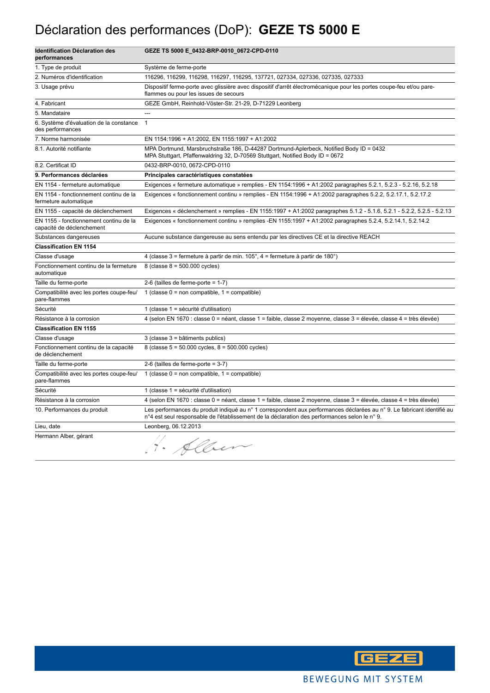# Déclaration des performances (DoP): **GEZE TS 5000 E**

| <b>Identification Déclaration des</b><br>performances               | GEZE TS 5000 E_0432-BRP-0010_0672-CPD-0110                                                                                                                                                                              |
|---------------------------------------------------------------------|-------------------------------------------------------------------------------------------------------------------------------------------------------------------------------------------------------------------------|
| 1. Type de produit                                                  | Système de ferme-porte                                                                                                                                                                                                  |
| 2. Numéros d'identification                                         | 116296, 116299, 116298, 116297, 116295, 137721, 027334, 027336, 027335, 027333                                                                                                                                          |
| 3. Usage prévu                                                      | Dispositif ferme-porte avec glissière avec dispositif d'arrêt électromécanique pour les portes coupe-feu et/ou pare-<br>flammes ou pour les issues de secours                                                           |
| 4. Fabricant                                                        | GEZE GmbH, Reinhold-Vöster-Str. 21-29, D-71229 Leonberg                                                                                                                                                                 |
| 5. Mandataire                                                       | $\overline{a}$                                                                                                                                                                                                          |
| 6. Système d'évaluation de la constance<br>des performances         | $\mathbf{1}$                                                                                                                                                                                                            |
| 7. Norme harmonisée                                                 | EN 1154:1996 + A1:2002, EN 1155:1997 + A1:2002                                                                                                                                                                          |
| 8.1. Autorité notifiante                                            | MPA Dortmund, Marsbruchstraße 186, D-44287 Dortmund-Aplerbeck, Notified Body ID = 0432<br>MPA Stuttgart, Pfaffenwaldring 32, D-70569 Stuttgart, Notified Body ID = 0672                                                 |
| 8.2. Certificat ID                                                  | 0432-BRP-0010, 0672-CPD-0110                                                                                                                                                                                            |
| 9. Performances déclarées                                           | Principales caractéristiques constatées                                                                                                                                                                                 |
| EN 1154 - fermeture automatique                                     | Exigences « fermeture automatique » remplies - EN 1154:1996 + A1:2002 paragraphes 5.2.1, 5.2.3 - 5.2.16, 5.2.18                                                                                                         |
| EN 1154 - fonctionnement continu de la<br>fermeture automatique     | Exigences « fonctionnement continu » remplies - EN 1154:1996 + A1:2002 paragraphes 5.2.2, 5.2.17.1, 5.2.17.2                                                                                                            |
| EN 1155 - capacité de déclenchement                                 | Exigences « déclenchement » remplies - EN 1155:1997 + A1:2002 paragraphes 5.1.2 - 5.1.6, 5.2.1 - 5.2.2, 5.2.5 - 5.2.13                                                                                                  |
| EN 1155 - fonctionnement continu de la<br>capacité de déclenchement | Exigences « fonctionnement continu » remplies -EN 1155:1997 + A1:2002 paragraphes 5.2.4, 5.2.14.1, 5.2.14.2                                                                                                             |
| Substances dangereuses                                              | Aucune substance dangereuse au sens entendu par les directives CE et la directive REACH                                                                                                                                 |
| <b>Classification EN 1154</b>                                       |                                                                                                                                                                                                                         |
| Classe d'usage                                                      | 4 (classe 3 = fermeture à partir de min. $105^{\circ}$ , 4 = fermeture à partir de 180 $^{\circ}$ )                                                                                                                     |
| Fonctionnement continu de la fermeture<br>automatique               | 8 (classe $8 = 500.000$ cycles)                                                                                                                                                                                         |
| Taille du ferme-porte                                               | 2-6 (tailles de ferme-porte = $1-7$ )                                                                                                                                                                                   |
| Compatibilité avec les portes coupe-feu/<br>pare-flammes            | 1 (classe $0 =$ non compatible, $1 =$ compatible)                                                                                                                                                                       |
| Sécurité                                                            | 1 (classe 1 = sécurité d'utilisation)                                                                                                                                                                                   |
| Résistance à la corrosion                                           | 4 (selon EN 1670 : classe 0 = néant, classe 1 = faible, classe 2 moyenne, classe 3 = élevée, classe 4 = très élevée)                                                                                                    |
| <b>Classification EN 1155</b>                                       |                                                                                                                                                                                                                         |
| Classe d'usage                                                      | 3 (classe 3 = bâtiments publics)                                                                                                                                                                                        |
| Fonctionnement continu de la capacité<br>de déclenchement           | 8 (classe $5 = 50.000$ cycles, $8 = 500.000$ cycles)                                                                                                                                                                    |
| Taille du ferme-porte                                               | 2-6 (tailles de ferme-porte = $3-7$ )                                                                                                                                                                                   |
| Compatibilité avec les portes coupe-feu/<br>pare-flammes            | 1 (classe $0 = \text{non compatible}$ , 1 = compatible)                                                                                                                                                                 |
| Sécurité                                                            | 1 (classe 1 = sécurité d'utilisation)                                                                                                                                                                                   |
| Résistance à la corrosion                                           | 4 (selon EN 1670 : classe 0 = néant, classe 1 = faible, classe 2 moyenne, classe 3 = élevée, classe 4 = très élevée)                                                                                                    |
| 10. Performances du produit                                         | Les performances du produit indiqué au n° 1 correspondent aux performances déclarées au n° 9. Le fabricant identifié au<br>n°4 est seul responsable de l'établissement de la déclaration des performances selon le n°9. |
| Lieu, date                                                          | Leonberg, 06.12.2013                                                                                                                                                                                                    |
| Hermann Alber, gérant                                               | Alber                                                                                                                                                                                                                   |

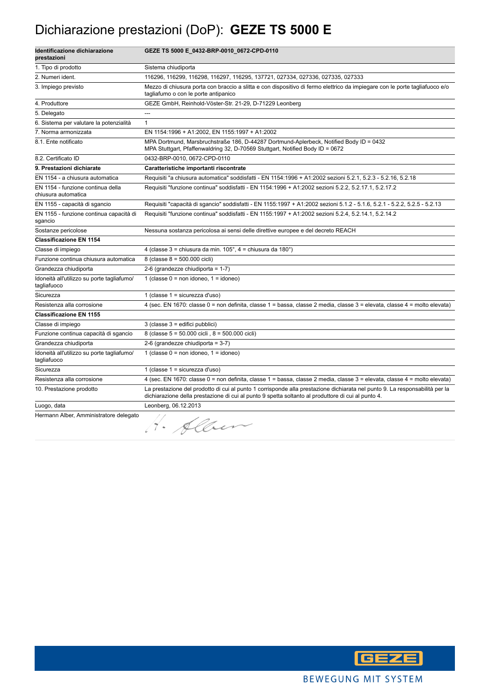#### Dichiarazione prestazioni (DoP): **GEZE TS 5000 E**

| Identificazione dichiarazione<br>prestazioni              | GEZE TS 5000 E_0432-BRP-0010_0672-CPD-0110                                                                                                                                                                                        |
|-----------------------------------------------------------|-----------------------------------------------------------------------------------------------------------------------------------------------------------------------------------------------------------------------------------|
| 1. Tipo di prodotto                                       | Sistema chiudiporta                                                                                                                                                                                                               |
| 2. Numeri ident.                                          | 116296, 116299, 116298, 116297, 116295, 137721, 027334, 027336, 027335, 027333                                                                                                                                                    |
| 3. Impiego previsto                                       | Mezzo di chiusura porta con braccio a slitta e con dispositivo di fermo elettrico da impiegare con le porte tagliafuoco e/o<br>tagliafumo o con le porte antipanico                                                               |
| 4. Produttore                                             | GEZE GmbH, Reinhold-Vöster-Str. 21-29, D-71229 Leonberg                                                                                                                                                                           |
| 5. Delegato                                               | ---                                                                                                                                                                                                                               |
| 6. Sistema per valutare la potenzialità                   | $\mathbf{1}$                                                                                                                                                                                                                      |
| 7. Norma armonizzata                                      | EN 1154:1996 + A1:2002, EN 1155:1997 + A1:2002                                                                                                                                                                                    |
| 8.1. Ente notificato                                      | MPA Dortmund, Marsbruchstraße 186, D-44287 Dortmund-Aplerbeck, Notified Body ID = 0432<br>MPA Stuttgart, Pfaffenwaldring 32, D-70569 Stuttgart, Notified Body ID = 0672                                                           |
| 8.2. Certificato ID                                       | 0432-BRP-0010, 0672-CPD-0110                                                                                                                                                                                                      |
| 9. Prestazioni dichiarate                                 | Caratteristiche importanti riscontrate                                                                                                                                                                                            |
| EN 1154 - a chiusura automatica                           | Requisiti "a chiusura automatica" soddisfatti - EN 1154:1996 + A1:2002 sezioni 5.2.1, 5.2.3 - 5.2.16, 5.2.18                                                                                                                      |
| EN 1154 - funzione continua della<br>chiusura automatica  | Requisiti "funzione continua" soddisfatti - EN 1154:1996 + A1:2002 sezioni 5.2.2, 5.2.17.1, 5.2.17.2                                                                                                                              |
| EN 1155 - capacità di sgancio                             | Requisiti "capacità di sgancio" soddisfatti - EN 1155:1997 + A1:2002 sezioni 5.1.2 - 5.1.6, 5.2.1 - 5.2.2, 5.2.5 - 5.2.13                                                                                                         |
| EN 1155 - funzione continua capacità di<br>sgancio        | Requisiti "funzione continua" soddisfatti - EN 1155:1997 + A1:2002 sezioni 5.2.4, 5.2.14.1, 5.2.14.2                                                                                                                              |
| Sostanze pericolose                                       | Nessuna sostanza pericolosa ai sensi delle direttive europee e del decreto REACH                                                                                                                                                  |
| <b>Classificazione EN 1154</b>                            |                                                                                                                                                                                                                                   |
| Classe di impiego                                         | 4 (classe 3 = chiusura da min. 105°, 4 = chiusura da 180°)                                                                                                                                                                        |
| Funzione continua chiusura automatica                     | 8 (classe 8 = 500.000 cicli)                                                                                                                                                                                                      |
| Grandezza chiudiporta                                     | 2-6 (grandezze chiudiporta = 1-7)                                                                                                                                                                                                 |
| Idoneità all'utilizzo su porte tagliafumo/<br>tagliafuoco | 1 (classe $0 = \text{non}$ idoneo, $1 = \text{idoneo}$ )                                                                                                                                                                          |
| Sicurezza                                                 | 1 (classe $1 =$ sicurezza d'uso)                                                                                                                                                                                                  |
| Resistenza alla corrosione                                | 4 (sec. EN 1670: classe 0 = non definita, classe 1 = bassa, classe 2 media, classe 3 = elevata, classe 4 = molto elevata)                                                                                                         |
| <b>Classificazione EN 1155</b>                            |                                                                                                                                                                                                                                   |
| Classe di impiego                                         | 3 (classe 3 = edifici pubblici)                                                                                                                                                                                                   |
| Funzione continua capacità di sgancio                     | 8 (classe 5 = 50.000 cicli, 8 = 500.000 cicli)                                                                                                                                                                                    |
| Grandezza chiudiporta                                     | 2-6 (grandezze chiudiporta = $3-7$ )                                                                                                                                                                                              |
| Idoneità all'utilizzo su porte tagliafumo/<br>tagliafuoco | 1 (classe $0 = \text{non}$ idoneo, $1 = \text{idoneo}$ )                                                                                                                                                                          |
| Sicurezza                                                 | 1 (classe 1 = sicurezza d'uso)                                                                                                                                                                                                    |
| Resistenza alla corrosione                                | 4 (sec. EN 1670: classe 0 = non definita, classe 1 = bassa, classe 2 media, classe 3 = elevata, classe 4 = molto elevata)                                                                                                         |
| 10. Prestazione prodotto                                  | La prestazione del prodotto di cui al punto 1 corrisponde alla prestazione dichiarata nel punto 9. La responsabilità per la<br>dichiarazione della prestazione di cui al punto 9 spetta soltanto al produttore di cui al punto 4. |
| Luogo, data                                               | Leonberg, 06.12.2013                                                                                                                                                                                                              |
| Hermann Alber, Amministratore delegato                    | 1. Alben                                                                                                                                                                                                                          |

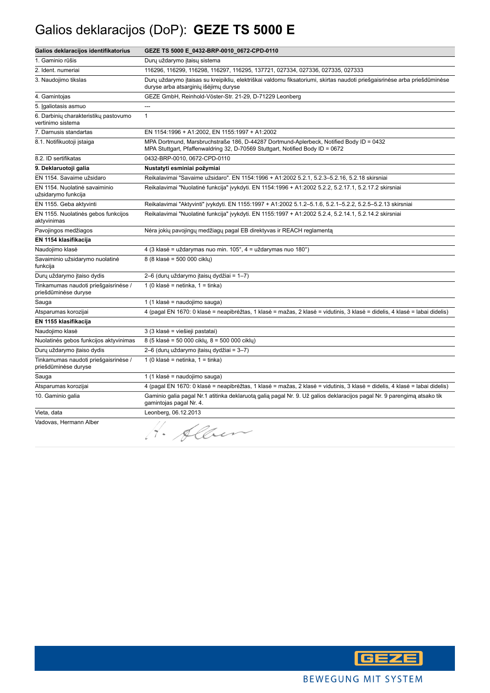# Galios deklaracijos (DoP): **GEZE TS 5000 E**

| Galios deklaracijos identifikatorius                         | GEZE TS 5000 E_0432-BRP-0010_0672-CPD-0110                                                                                                                              |
|--------------------------------------------------------------|-------------------------------------------------------------------------------------------------------------------------------------------------------------------------|
| 1. Gaminio rūšis                                             | Durų uždarymo įtaisų sistema                                                                                                                                            |
| 2. Ident. numeriai                                           | 116296, 116299, 116298, 116297, 116295, 137721, 027334, 027336, 027335, 027333                                                                                          |
| 3. Naudojimo tikslas                                         | Durų uždarymo įtaisas su kreipikliu, elektriškai valdomu fiksatoriumi, skirtas naudoti priešgaisrinėse arba priešdūminėse<br>duryse arba atsarginių išėjimų duryse      |
| 4. Gamintojas                                                | GEZE GmbH, Reinhold-Vöster-Str. 21-29, D-71229 Leonberg                                                                                                                 |
| 5. Igaliotasis asmuo                                         | ---                                                                                                                                                                     |
| 6. Darbinių charakteristikų pastovumo<br>vertinimo sistema   | $\mathbf{1}$                                                                                                                                                            |
| 7. Darnusis standartas                                       | EN 1154:1996 + A1:2002, EN 1155:1997 + A1:2002                                                                                                                          |
| 8.1. Notifikuotoji įstaiga                                   | MPA Dortmund, Marsbruchstraße 186, D-44287 Dortmund-Aplerbeck, Notified Body ID = 0432<br>MPA Stuttgart, Pfaffenwaldring 32, D-70569 Stuttgart, Notified Body ID = 0672 |
| 8.2. ID sertifikatas                                         | 0432-BRP-0010, 0672-CPD-0110                                                                                                                                            |
| 9. Deklaruotoji galia                                        | Nustatyti esminiai požymiai                                                                                                                                             |
| EN 1154. Savaime užsidaro                                    | Reikalavimai "Savaime užsidaro". EN 1154:1996 + A1:2002 5.2.1, 5.2.3-5.2.16, 5.2.18 skirsniai                                                                           |
| EN 1154. Nuolatinė savaiminio<br>užsidarymo funkcija         | Reikalavimai "Nuolatinė funkcija" įvykdyti. EN 1154:1996 + A1:2002 5.2.2, 5.2.17.1, 5.2.17.2 skirsniai                                                                  |
| EN 1155. Geba aktyvinti                                      | Reikalavimai "Aktyvinti" įvykdyti. EN 1155:1997 + A1:2002 5.1.2–5.1.6, 5.2.1–5.2.2, 5.2.5–5.2.13 skirsniai                                                              |
| EN 1155. Nuolatinės gebos funkcijos<br>aktyvinimas           | Reikalavimai "Nuolatinė funkcija" įvykdyti. EN 1155:1997 + A1:2002 5.2.4, 5.2.14.1, 5.2.14.2 skirsniai                                                                  |
| Pavojingos medžiagos                                         | Nėra jokių pavojingų medžiagų pagal EB direktyvas ir REACH reglamentą                                                                                                   |
| EN 1154 klasifikacija                                        |                                                                                                                                                                         |
| Naudojimo klasė                                              | 4 (3 klasė = uždarymas nuo min. 105°, 4 = uždarymas nuo 180°)                                                                                                           |
| Savaiminio užsidarymo nuolatinė<br>funkcija                  | 8 (8 klasė = 500 000 ciklu)                                                                                                                                             |
| Durų uždarymo įtaiso dydis                                   | 2–6 (durų uždarymo įtaisų dydžiai = 1–7)                                                                                                                                |
| Tinkamumas naudoti priešgaisrinėse /<br>priešdūminėse duryse | 1 (0 klasė = netinka, 1 = tinka)                                                                                                                                        |
| Sauga                                                        | 1 (1 klasė = naudojimo sauga)                                                                                                                                           |
| Atsparumas korozijai                                         | 4 (pagal EN 1670: 0 klasė = neapibrėžtas, 1 klasė = mažas, 2 klasė = vidutinis, 3 klasė = didelis, 4 klasė = labai didelis)                                             |
| EN 1155 klasifikacija                                        |                                                                                                                                                                         |
| Naudojimo klasė                                              | 3 (3 klasė = viešieji pastatai)                                                                                                                                         |
| Nuolatinės gebos funkcijos aktyvinimas                       | 8 (5 klasė = 50 000 ciklų, 8 = 500 000 ciklų)                                                                                                                           |
| Durų uždarymo įtaiso dydis                                   | 2–6 (durų uždarymo įtaisų dydžiai = 3–7)                                                                                                                                |
| Tinkamumas naudoti priešgaisrinėse /<br>priešdūminėse duryse | 1 (0 klasė = netinka, 1 = tinka)                                                                                                                                        |
| Sauga                                                        | 1 (1 klasė = naudojimo sauga)                                                                                                                                           |
| Atsparumas korozijai                                         | 4 (pagal EN 1670: 0 klasė = neapibrėžtas, 1 klasė = mažas, 2 klasė = vidutinis, 3 klasė = didelis, 4 klasė = labai didelis)                                             |
| 10. Gaminio galia                                            | Gaminio galia pagal Nr.1 atitinka deklaruotą galią pagal Nr. 9. Už galios deklaracijos pagal Nr. 9 parengimą atsako tik<br>gamintojas pagal Nr. 4.                      |
| Vieta, data                                                  | Leonberg, 06.12.2013                                                                                                                                                    |
| Vadovas, Hermann Alber                                       | 1. Alber                                                                                                                                                                |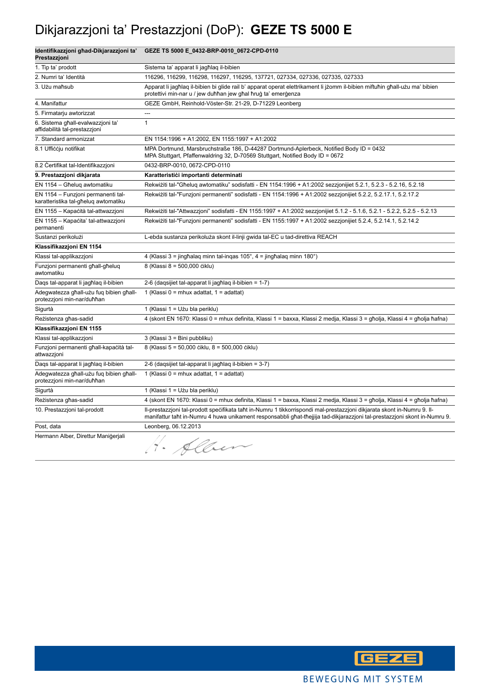# Dikjarazzjoni ta' Prestazzjoni (DoP): **GEZE TS 5000 E**

| Identifikazzjoni ghad-Dikjarazzjoni ta'<br>Prestazzjoni                    | GEZE TS 5000 E_0432-BRP-0010_0672-CPD-0110                                                                                                                                                                                                           |
|----------------------------------------------------------------------------|------------------------------------------------------------------------------------------------------------------------------------------------------------------------------------------------------------------------------------------------------|
| 1. Tip ta' prodott                                                         | Sistema ta' apparat li jagħlag il-bibien                                                                                                                                                                                                             |
| 2. Numri ta' Identità                                                      | 116296, 116299, 116298, 116297, 116295, 137721, 027334, 027336, 027335, 027333                                                                                                                                                                       |
| 3. Użu maħsub                                                              | Apparat li jagħlaq il-bibien bi glide rail b' apparat operat elettrikament li jżomm il-bibien miftuħin għall-użu ma' bibien<br>protettivi min-nar u / jew duħħan jew għal ħruġ ta' emerġenza                                                         |
| 4. Manifattur                                                              | GEZE GmbH, Reinhold-Vöster-Str. 21-29, D-71229 Leonberg                                                                                                                                                                                              |
| 5. Firmatarju awtorizzat                                                   | $\overline{a}$                                                                                                                                                                                                                                       |
| 6. Sistema għall-evalwazzjoni ta'<br>affidabilità tal-prestazzjoni         | $\mathbf{1}$                                                                                                                                                                                                                                         |
| 7. Standard armonizzat                                                     | EN 1154:1996 + A1:2002, EN 1155:1997 + A1:2002                                                                                                                                                                                                       |
| 8.1 Ufficcju notifikat                                                     | MPA Dortmund, Marsbruchstraße 186, D-44287 Dortmund-Aplerbeck, Notified Body ID = 0432<br>MPA Stuttgart, Pfaffenwaldring 32, D-70569 Stuttgart, Notified Body ID = 0672                                                                              |
| 8.2 Certifikat tal-Identifikazzjoni                                        | 0432-BRP-0010, 0672-CPD-0110                                                                                                                                                                                                                         |
| 9. Prestazzjoni dikjarata                                                  | Karatteristići importanti determinati                                                                                                                                                                                                                |
| EN 1154 - Għeluq awtomatiku                                                | Rekwiżiti tal-"Għeluq awtomatiku" sodisfatti - EN 1154:1996 + A1:2002 sezzjonijiet 5.2.1, 5.2.3 - 5.2.16, 5.2.18                                                                                                                                     |
| EN 1154 - Funzjoni permanenti tal-<br>karatteristika tal-għeluq awtomatiku | Rekwiżiti tal-"Funzjoni permanenti" sodisfatti - EN 1154:1996 + A1:2002 sezzjonijiet 5.2.2, 5.2.17.1, 5.2.17.2                                                                                                                                       |
| EN 1155 - Kapačità tal-attwazzjoni                                         | Rekwiżiti tal-"Attwazzjoni" sodisfatti - EN 1155:1997 + A1:2002 sezzjonijiet 5.1.2 - 5.1.6, 5.2.1 - 5.2.2, 5.2.5 - 5.2.13                                                                                                                            |
| EN 1155 - Kapačita' tal-attwazzjoni<br>permanenti                          | Rekwiżiti tal-"Funzjoni permanenti" sodisfatti - EN 1155:1997 + A1:2002 sezzjonijiet 5.2.4, 5.2.14.1, 5.2.14.2                                                                                                                                       |
| Sustanzi perikolużi                                                        | L-ebda sustanza perikoluża skont il-linji gwida tal-EC u tad-direttiva REACH                                                                                                                                                                         |
| Klassifikazzjoni EN 1154                                                   |                                                                                                                                                                                                                                                      |
| Klassi tal-applikazzjoni                                                   | 4 (Klassi 3 = jinghalag minn tal-ingas 105°, 4 = jinghalag minn 180°)                                                                                                                                                                                |
| Funzjoni permanenti ghall-gheluq<br>awtomatiku                             | 8 (Klassi 8 = 500,000 čiklu)                                                                                                                                                                                                                         |
| Dags tal-apparat li jagħlag il-bibien                                      | 2-6 (dagsijiet tal-apparat li jagħlag il-bibien = 1-7)                                                                                                                                                                                               |
| Adegwatezza għall-użu fuq bibien għall-<br>protezzjoni min-nar/duħħan      | 1 (Klassi 0 = mhux adattat, $1 =$ adattat)                                                                                                                                                                                                           |
| Sigurtà                                                                    | 1 (Klassi 1 = Užu bla periklu)                                                                                                                                                                                                                       |
| Rezistenza għas-sadid                                                      | 4 (skont EN 1670: Klassi 0 = mhux definita, Klassi 1 = baxxa, Klassi 2 medja, Klassi 3 = għolja, Klassi 4 = għolja ħafna)                                                                                                                            |
| Klassifikazzjoni EN 1155                                                   |                                                                                                                                                                                                                                                      |
| Klassi tal-applikazzjoni                                                   | 3 (Klassi 3 = Bini pubbliku)                                                                                                                                                                                                                         |
| Funzjoni permanenti għall-kapaċità tal-<br>attwazzjoni                     | 8 (Klassi 5 = 50,000 ciklu, 8 = 500,000 ciklu)                                                                                                                                                                                                       |
| Daqs tal-apparat li jagħlaq il-bibien                                      | 2-6 (daqsijiet tal-apparat li jagħlaq il-bibien = 3-7)                                                                                                                                                                                               |
| Adegwatezza għall-użu fuq bibien għall-<br>protezzjoni min-nar/duħħan      | 1 (Klassi 0 = mhux adattat, 1 = adattat)                                                                                                                                                                                                             |
| Sigurtà                                                                    | 1 (Klassi 1 = Użu bla periklu)                                                                                                                                                                                                                       |
| Rezistenza għas-sadid                                                      | 4 (skont EN 1670: Klassi 0 = mhux definita, Klassi 1 = baxxa, Klassi 2 medja, Klassi 3 = għolja, Klassi 4 = għolja ħafna)                                                                                                                            |
| 10. Prestazzjoni tal-prodott                                               | II-prestazzjoni tal-prodott specifikata taht in-Numru 1 tikkorrispondi mal-prestazzjoni dikjarata skont in-Numru 9. II-<br>manifattur taht in-Numru 4 huwa unikament responsabbli ghat-thejjija tad-dikjarazzjoni tal-prestazzjoni skont in-Numru 9. |
| Post, data                                                                 | Leonberg, 06.12.2013                                                                                                                                                                                                                                 |
| Hermann Alber, Direttur Manigerjali                                        | H. Alben                                                                                                                                                                                                                                             |

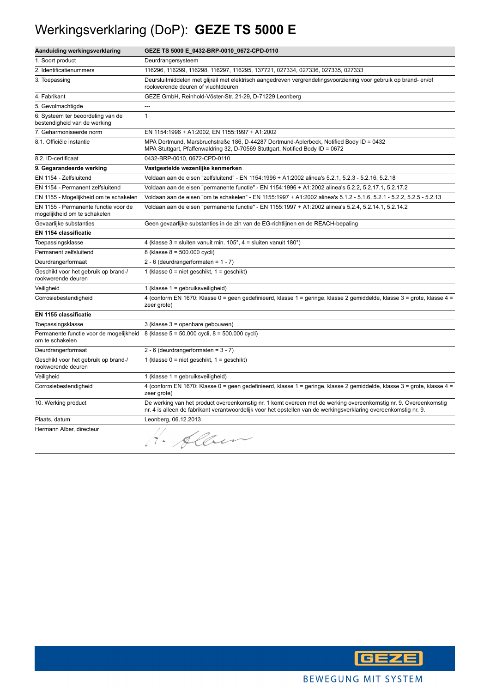# Werkingsverklaring (DoP): **GEZE TS 5000 E**

| Aanduiding werkingsverklaring                                        | GEZE TS 5000 E_0432-BRP-0010_0672-CPD-0110                                                                                                                                                                                           |
|----------------------------------------------------------------------|--------------------------------------------------------------------------------------------------------------------------------------------------------------------------------------------------------------------------------------|
| 1. Soort product                                                     | Deurdrangersysteem                                                                                                                                                                                                                   |
| 2. Identificatienummers                                              | 116296, 116299, 116298, 116297, 116295, 137721, 027334, 027336, 027335, 027333                                                                                                                                                       |
| 3. Toepassing                                                        | Deursluitmiddelen met glijrail met elektrisch aangedreven vergrendelingsvoorziening voor gebruik op brand-en/of<br>rookwerende deuren of vluchtdeuren                                                                                |
| 4. Fabrikant                                                         | GEZE GmbH, Reinhold-Vöster-Str. 21-29, D-71229 Leonberg                                                                                                                                                                              |
| 5. Gevolmachtigde                                                    | $\overline{a}$                                                                                                                                                                                                                       |
| 6. Systeem ter beoordeling van de<br>bestendigheid van de werking    | $\mathbf{1}$                                                                                                                                                                                                                         |
| 7. Geharmoniseerde norm                                              | EN 1154:1996 + A1:2002, EN 1155:1997 + A1:2002                                                                                                                                                                                       |
| 8.1. Officiële instantie                                             | MPA Dortmund, Marsbruchstraße 186, D-44287 Dortmund-Aplerbeck, Notified Body ID = 0432<br>MPA Stuttgart, Pfaffenwaldring 32, D-70569 Stuttgart, Notified Body ID = 0672                                                              |
| 8.2. ID-certificaat                                                  | 0432-BRP-0010, 0672-CPD-0110                                                                                                                                                                                                         |
| 9. Gegarandeerde werking                                             | Vastgestelde wezenlijke kenmerken                                                                                                                                                                                                    |
| EN 1154 - Zelfsluitend                                               | Voldaan aan de eisen "zelfsluitend" - EN 1154:1996 + A1:2002 alinea's 5.2.1, 5.2.3 - 5.2.16, 5.2.18                                                                                                                                  |
| EN 1154 - Permanent zelfsluitend                                     | Voldaan aan de eisen "permanente functie" - EN 1154:1996 + A1:2002 alinea's 5.2.2, 5.2.17.1, 5.2.17.2                                                                                                                                |
| EN 1155 - Mogelijkheid om te schakelen                               | Voldaan aan de eisen "om te schakelen" - EN 1155:1997 + A1:2002 alinea's 5.1.2 - 5.1.6, 5.2.1 - 5.2.2, 5.2.5 - 5.2.13                                                                                                                |
| EN 1155 - Permanente functie voor de<br>mogelijkheid om te schakelen | Voldaan aan de eisen "permanente functie" - EN 1155:1997 + A1:2002 alinea's 5.2.4, 5.2.14.1, 5.2.14.2                                                                                                                                |
| Gevaarlijke substanties                                              | Geen gevaarlijke substanties in de zin van de EG-richtlijnen en de REACH-bepaling                                                                                                                                                    |
| <b>EN 1154 classificatie</b>                                         |                                                                                                                                                                                                                                      |
| Toepassingsklasse                                                    | 4 (klasse $3 =$ sluiten vanuit min. $105^\circ$ , $4 =$ sluiten vanuit $180^\circ$ )                                                                                                                                                 |
| Permanent zelfsluitend                                               | 8 (klasse 8 = 500.000 cycli)                                                                                                                                                                                                         |
| Deurdrangerformaat                                                   | 2 - 6 (deurdrangerformaten = $1 - 7$ )                                                                                                                                                                                               |
| Geschikt voor het gebruik op brand-/<br>rookwerende deuren           | 1 (klasse $0 =$ niet geschikt, $1 =$ geschikt)                                                                                                                                                                                       |
| Veiligheid                                                           | 1 (klasse 1 = gebruiksveiligheid)                                                                                                                                                                                                    |
| Corrosiebestendigheid                                                | 4 (conform EN 1670: Klasse 0 = geen gedefinieerd, klasse 1 = geringe, klasse 2 gemiddelde, klasse 3 = grote, klasse 4 =<br>zeer grote)                                                                                               |
| EN 1155 classificatie                                                |                                                                                                                                                                                                                                      |
| Toepassingsklasse                                                    | 3 (klasse 3 = openbare gebouwen)                                                                                                                                                                                                     |
| om te schakelen                                                      | Permanente functie voor de mogelijkheid 8 (klasse 5 = 50.000 cycli, 8 = 500.000 cycli)                                                                                                                                               |
| Deurdrangerformaat                                                   | 2 - 6 (deurdrangerformaten = $3 - 7$ )                                                                                                                                                                                               |
| Geschikt voor het gebruik op brand-/<br>rookwerende deuren           | 1 (klasse $0 =$ niet geschikt, $1 =$ geschikt)                                                                                                                                                                                       |
| Veiligheid                                                           | 1 (klasse 1 = gebruiksveiligheid)                                                                                                                                                                                                    |
| Corrosiebestendigheid                                                | 4 (conform EN 1670: Klasse 0 = geen gedefinieerd, klasse 1 = geringe, klasse 2 gemiddelde, klasse 3 = grote, klasse 4 =<br>zeer grote)                                                                                               |
| 10. Werking product                                                  | De werking van het product overeenkomstig nr. 1 komt overeen met de werking overeenkomstig nr. 9. Overeenkomstig<br>nr. 4 is alleen de fabrikant verantwoordelijk voor het opstellen van de werkingsverklaring overeenkomstig nr. 9. |
| Plaats, datum                                                        | Leonberg, 06.12.2013                                                                                                                                                                                                                 |
| Hermann Alber, directeur                                             | H. Alben                                                                                                                                                                                                                             |

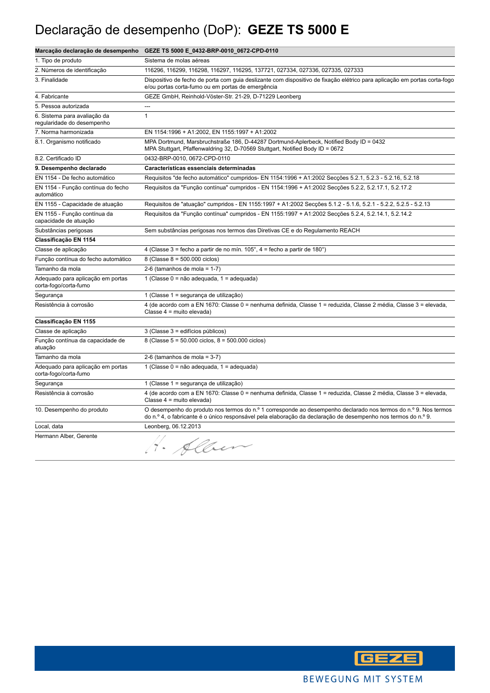# Declaração de desempenho (DoP): **GEZE TS 5000 E**

|                                                            | Marcação declaração de desempenho GEZE TS 5000 E_0432-BRP-0010_0672-CPD-0110                                                                                                                                                     |
|------------------------------------------------------------|----------------------------------------------------------------------------------------------------------------------------------------------------------------------------------------------------------------------------------|
| 1. Tipo de produto                                         | Sistema de molas aéreas                                                                                                                                                                                                          |
| 2. Números de identificação                                | 116296, 116299, 116298, 116297, 116295, 137721, 027334, 027336, 027335, 027333                                                                                                                                                   |
| 3. Finalidade                                              | Dispositivo de fecho de porta com guia deslizante com dispositivo de fixação elétrico para aplicação em portas corta-fogo<br>e/ou portas corta-fumo ou em portas de emergência                                                   |
| 4. Fabricante                                              | GEZE GmbH, Reinhold-Vöster-Str. 21-29, D-71229 Leonberg                                                                                                                                                                          |
| 5. Pessoa autorizada                                       | $\overline{a}$                                                                                                                                                                                                                   |
| 6. Sistema para avaliação da<br>regularidade do desempenho | $\mathbf{1}$                                                                                                                                                                                                                     |
| 7. Norma harmonizada                                       | EN 1154:1996 + A1:2002, EN 1155:1997 + A1:2002                                                                                                                                                                                   |
| 8.1. Organismo notificado                                  | MPA Dortmund, Marsbruchstraße 186, D-44287 Dortmund-Aplerbeck, Notified Body ID = 0432<br>MPA Stuttgart, Pfaffenwaldring 32, D-70569 Stuttgart, Notified Body ID = 0672                                                          |
| 8.2. Certificado ID                                        | 0432-BRP-0010, 0672-CPD-0110                                                                                                                                                                                                     |
| 9. Desempenho declarado                                    | Características essenciais determinadas                                                                                                                                                                                          |
| EN 1154 - De fecho automático                              | Requisitos "de fecho automático" cumpridos- EN 1154:1996 + A1:2002 Secções 5.2.1, 5.2.3 - 5.2.16, 5.2.18                                                                                                                         |
| EN 1154 - Função contínua do fecho<br>automático           | Requisitos da "Função contínua" cumpridos - EN 1154:1996 + A1:2002 Secções 5.2.2, 5.2.17.1, 5.2.17.2                                                                                                                             |
| EN 1155 - Capacidade de atuação                            | Requisitos de "atuação" cumpridos - EN 1155:1997 + A1:2002 Secções 5.1.2 - 5.1.6, 5.2.1 - 5.2.2, 5.2.5 - 5.2.13                                                                                                                  |
| EN 1155 - Função contínua da<br>capacidade de atuação      | Requisitos da "Função contínua" cumpridos - EN 1155:1997 + A1:2002 Secções 5.2.4, 5.2.14.1, 5.2.14.2                                                                                                                             |
| Substâncias perigosas                                      | Sem substâncias perigosas nos termos das Diretivas CE e do Regulamento REACH                                                                                                                                                     |
| Classificação EN 1154                                      |                                                                                                                                                                                                                                  |
| Classe de aplicação                                        | 4 (Classe 3 = fecho a partir de no mín. $105^\circ$ , 4 = fecho a partir de 180 $^\circ$ )                                                                                                                                       |
| Função contínua do fecho automático                        | 8 (Classe $8 = 500.000$ ciclos)                                                                                                                                                                                                  |
| Tamanho da mola                                            | 2-6 (tamanhos de mola = $1-7$ )                                                                                                                                                                                                  |
| Adequado para aplicação em portas<br>corta-fogo/corta-fumo | 1 (Classe 0 = não adequada, 1 = adequada)                                                                                                                                                                                        |
| Segurança                                                  | 1 (Classe 1 = segurança de utilização)                                                                                                                                                                                           |
| Resistência à corrosão                                     | 4 (de acordo com a EN 1670: Classe 0 = nenhuma definida, Classe 1 = reduzida, Classe 2 média, Classe 3 = elevada,<br>Classe 4 = muito elevada)                                                                                   |
| Classificação EN 1155                                      |                                                                                                                                                                                                                                  |
| Classe de aplicação                                        | 3 (Classe 3 = edifícios públicos)                                                                                                                                                                                                |
| Função contínua da capacidade de<br>atuação                | 8 (Classe 5 = 50.000 ciclos, 8 = 500.000 ciclos)                                                                                                                                                                                 |
| Tamanho da mola                                            | 2-6 (tamanhos de mola = $3-7$ )                                                                                                                                                                                                  |
| Adequado para aplicação em portas<br>corta-fogo/corta-fumo | 1 (Classe 0 = não adequada, 1 = adequada)                                                                                                                                                                                        |
| Segurança                                                  | 1 (Classe 1 = segurança de utilização)                                                                                                                                                                                           |
| Resistência à corrosão                                     | 4 (de acordo com a EN 1670: Classe 0 = nenhuma definida, Classe 1 = reduzida, Classe 2 média, Classe 3 = elevada,<br>Classe 4 = muito elevada)                                                                                   |
| 10. Desempenho do produto                                  | O desempenho do produto nos termos do n.º 1 corresponde ao desempenho declarado nos termos do n.º 9. Nos termos<br>do n.º 4, o fabricante é o único responsável pela elaboração da declaração de desempenho nos termos do n.º 9. |
| Local, data                                                | Leonberg, 06.12.2013                                                                                                                                                                                                             |
| Hermann Alber, Gerente                                     | Alber                                                                                                                                                                                                                            |

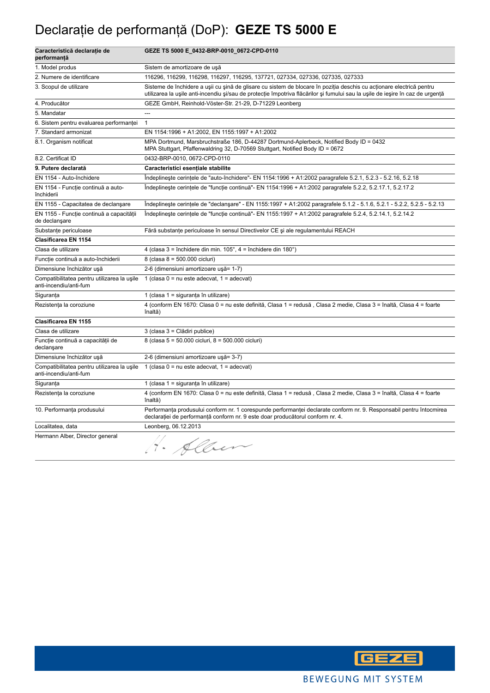# Declaraţie de performanţă (DoP): **GEZE TS 5000 E**

| Caracteristică declarație de<br>performanță                           | GEZE TS 5000 E_0432-BRP-0010_0672-CPD-0110                                                                                                                                                                                                             |
|-----------------------------------------------------------------------|--------------------------------------------------------------------------------------------------------------------------------------------------------------------------------------------------------------------------------------------------------|
| 1. Model produs                                                       | Sistem de amortizoare de usă                                                                                                                                                                                                                           |
| 2. Numere de identificare                                             | 116296, 116299, 116298, 116297, 116295, 137721, 027334, 027336, 027335, 027333                                                                                                                                                                         |
| 3. Scopul de utilizare                                                | Sisteme de închidere a ușii cu șină de glisare cu sistem de blocare în poziția deschis cu acționare electrică pentru<br>utilizarea la ușile anti-incendiu și/sau de protecție împotriva flăcărilor și fumului sau la ușile de ieșire în caz de urgență |
| 4. Producător                                                         | GEZE GmbH, Reinhold-Vöster-Str. 21-29, D-71229 Leonberg                                                                                                                                                                                                |
| 5. Mandatar                                                           | $\sim$                                                                                                                                                                                                                                                 |
| 6. Sistem pentru evaluarea performanței                               | $\mathbf{1}$                                                                                                                                                                                                                                           |
| 7. Standard armonizat                                                 | EN 1154:1996 + A1:2002, EN 1155:1997 + A1:2002                                                                                                                                                                                                         |
| 8.1. Organism notificat                                               | MPA Dortmund, Marsbruchstraße 186, D-44287 Dortmund-Aplerbeck, Notified Body ID = 0432<br>MPA Stuttgart, Pfaffenwaldring 32, D-70569 Stuttgart, Notified Body ID = 0672                                                                                |
| 8.2. Certificat ID                                                    | 0432-BRP-0010, 0672-CPD-0110                                                                                                                                                                                                                           |
| 9. Putere declarată                                                   | Caracteristici esențiale stabilite                                                                                                                                                                                                                     |
| EN 1154 - Auto-închidere                                              | Indeplineste cerintele de "auto-închidere"- EN 1154:1996 + A1:2002 paragrafele 5.2.1, 5.2.3 - 5.2.16, 5.2.18                                                                                                                                           |
| EN 1154 - Funcție continuă a auto-<br>închiderii                      | Îndeplinește cerințele de "funcție continuă"- EN 1154:1996 + A1:2002 paragrafele 5.2.2, 5.2.17.1, 5.2.17.2                                                                                                                                             |
| EN 1155 - Capacitatea de declanşare                                   | Indeplineste cerintele de "declansare" - EN 1155:1997 + A1:2002 paragrafele 5.1.2 - 5.1.6, 5.2.1 - 5.2.2, 5.2.5 - 5.2.13                                                                                                                               |
| EN 1155 - Funcție continuă a capacității<br>de declanşare             | Îndeplinește cerințele de "funcție continuă"- EN 1155:1997 + A1:2002 paragrafele 5.2.4, 5.2.14.1, 5.2.14.2                                                                                                                                             |
| Substanțe periculoase                                                 | Fără substanțe periculoase în sensul Directivelor CE și ale regulamentului REACH                                                                                                                                                                       |
| Clasificarea EN 1154                                                  |                                                                                                                                                                                                                                                        |
| Clasa de utilizare                                                    | 4 (clasa 3 = închidere din min. 105°, 4 = închidere din 180°)                                                                                                                                                                                          |
| Funcție continuă a auto-închiderii                                    | 8 (clasa 8 = 500.000 cicluri)                                                                                                                                                                                                                          |
| Dimensiune închizător ușă                                             | 2-6 (dimensiuni amortizoare ușă= 1-7)                                                                                                                                                                                                                  |
| Compatibilitatea pentru utilizarea la usile<br>anti-incendiu/anti-fum | 1 (clasa $0 = nu$ este adecvat, $1 = adecvat$ )                                                                                                                                                                                                        |
| Siguranța                                                             | 1 (clasa 1 = siguranța în utilizare)                                                                                                                                                                                                                   |
| Rezistența la coroziune                                               | 4 (conform EN 1670: Clasa 0 = nu este definită, Clasa 1 = redusă, Clasa 2 medie, Clasa 3 = înaltă, Clasa 4 = foarte<br>înaltă)                                                                                                                         |
| Clasificarea EN 1155                                                  |                                                                                                                                                                                                                                                        |
| Clasa de utilizare                                                    | 3 (clasa 3 = Clădiri publice)                                                                                                                                                                                                                          |
| Funcție continuă a capacității de<br>declanşare                       | 8 (clasa 5 = 50.000 cicluri, 8 = 500.000 cicluri)                                                                                                                                                                                                      |
| Dimensiune închizător ușă                                             | 2-6 (dimensiuni amortizoare ușă= 3-7)                                                                                                                                                                                                                  |
| Compatibilitatea pentru utilizarea la ușile<br>anti-incendiu/anti-fum | 1 (clasa $0 = nu$ este adecvat, $1 = adecvat$ )                                                                                                                                                                                                        |
| Siguranța                                                             | 1 (clasa 1 = siguranța în utilizare)                                                                                                                                                                                                                   |
| Rezistența la coroziune                                               | 4 (conform EN 1670: Clasa 0 = nu este definită, Clasa 1 = redusă, Clasa 2 medie, Clasa 3 = înaltă, Clasa 4 = foarte<br>înaltă)                                                                                                                         |
| 10. Performanța produsului                                            | Performanța produsului conform nr. 1 corespunde performanței declarate conform nr. 9. Responsabil pentru întocmirea<br>declarației de performanță conform nr. 9 este doar producătorul conform nr. 4.                                                  |
| Localitatea, data                                                     | Leonberg, 06.12.2013                                                                                                                                                                                                                                   |
| Hermann Alber, Director general                                       | · Alber                                                                                                                                                                                                                                                |

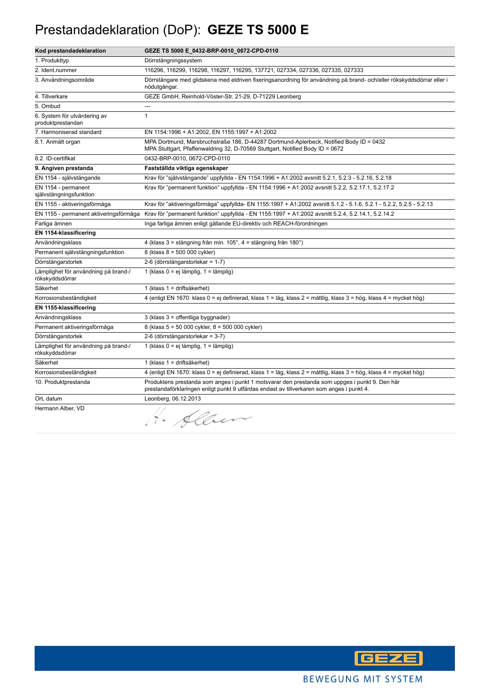#### Prestandadeklaration (DoP): **GEZE TS 5000 E**

| Kod prestandadeklaration                                | GEZE TS 5000 E_0432-BRP-0010_0672-CPD-0110                                                                                                                                                  |
|---------------------------------------------------------|---------------------------------------------------------------------------------------------------------------------------------------------------------------------------------------------|
| 1. Produkttyp                                           | Dörrstängningssystem                                                                                                                                                                        |
| 2. Ident.nummer                                         | 116296, 116299, 116298, 116297, 116295, 137721, 027334, 027336, 027335, 027333                                                                                                              |
| 3. Användningsområde                                    | Dörrstängare med glidskena med eldriven fixeringsanordning för användning på brand- och/eller rökskyddsdörrar eller i<br>nödutgångar.                                                       |
| 4. Tillverkare                                          | GEZE GmbH, Reinhold-Vöster-Str. 21-29, D-71229 Leonberg                                                                                                                                     |
| 5. Ombud                                                | ---                                                                                                                                                                                         |
| 6. System för utvärdering av<br>produktprestandan       | $\mathbf{1}$                                                                                                                                                                                |
| 7. Harmoniserad standard                                | EN 1154:1996 + A1:2002, EN 1155:1997 + A1:2002                                                                                                                                              |
| 8.1. Anmält organ                                       | MPA Dortmund, Marsbruchstraße 186, D-44287 Dortmund-Aplerbeck, Notified Body ID = 0432<br>MPA Stuttgart, Pfaffenwaldring 32, D-70569 Stuttgart, Notified Body ID = 0672                     |
| 8.2. ID-certifikat                                      | 0432-BRP-0010, 0672-CPD-0110                                                                                                                                                                |
| 9. Angiven prestanda                                    | Fastställda viktiga egenskaper                                                                                                                                                              |
| EN 1154 - självstängande                                | Krav för "självstängande" uppfyllda - EN 1154:1996 + A1:2002 avsnitt 5.2.1, 5.2.3 - 5.2.16, 5.2.18                                                                                          |
| EN 1154 - permanent<br>självstängningsfunktion          | Krav för "permanent funktion" uppfyllda - EN 1154:1996 + A1:2002 avsnitt 5.2.2, 5.2.17.1, 5.2.17.2                                                                                          |
| EN 1155 - aktiveringsförmåga                            | Krav för "aktiveringsförmåga" uppfyllda- EN 1155:1997 + A1:2002 avsnitt 5.1.2 - 5.1.6, 5.2.1 - 5.2.2, 5.2.5 - 5.2.13                                                                        |
| EN 1155 - permanent aktiveringsförmåga                  | Krav för "permanent funktion" uppfyllda - EN 1155:1997 + A1:2002 avsnitt 5.2.4, 5.2.14.1, 5.2.14.2                                                                                          |
| Farliga ämnen                                           | Inga farliga ämnen enligt gällande EU-direktiv och REACH-förordningen                                                                                                                       |
| EN 1154-klassificering                                  |                                                                                                                                                                                             |
| Användningsklass                                        | 4 (klass 3 = stängning från min. 105°, 4 = stängning från 180°)                                                                                                                             |
| Permanent självstängningsfunktion                       | 8 (klass 8 = 500 000 cykler)                                                                                                                                                                |
| Dörrstängarstorlek                                      | 2-6 (dörrstängarstorlekar = 1-7)                                                                                                                                                            |
| Lämplighet för användning på brand-/<br>rökskyddsdörrar | 1 (klass 0 = ej lämplig, 1 = lämplig)                                                                                                                                                       |
| Säkerhet                                                | 1 (klass 1 = driftsäkerhet)                                                                                                                                                                 |
| Korrosionsbeständigkeit                                 | 4 (enligt EN 1670: klass 0 = ej definierad, klass 1 = låg, klass 2 = måttlig, klass 3 = hög, klass 4 = mycket hög)                                                                          |
| EN 1155-klassificering                                  |                                                                                                                                                                                             |
| Användningsklass                                        | 3 (klass 3 = offentliga byggnader)                                                                                                                                                          |
| Permanent aktiveringsförmåga                            | 8 (klass 5 = 50 000 cykler, 8 = 500 000 cykler)                                                                                                                                             |
| Dörrstängarstorlek                                      | 2-6 (dörrstängarstorlekar = 3-7)                                                                                                                                                            |
| Lämplighet för användning på brand-/<br>rökskyddsdörrar | 1 (klass 0 = ej lämplig, 1 = lämplig)                                                                                                                                                       |
| Säkerhet                                                | 1 (klass 1 = driftsäkerhet)                                                                                                                                                                 |
| Korrosionsbeständigkeit                                 | 4 (enligt EN 1670: klass 0 = ej definierad, klass 1 = låg, klass 2 = måttlig, klass 3 = hög, klass 4 = mycket hög)                                                                          |
| 10. Produktprestanda                                    | Produktens prestanda som anges i punkt 1 motsvarar den prestanda som uppges i punkt 9. Den här<br>prestandaförklaringen enligt punkt 9 utfärdas endast av tillverkaren som anges i punkt 4. |
| Ort, datum                                              | Leonberg, 06.12.2013                                                                                                                                                                        |
| Hermann Alber, VD                                       | Albert<br>$\overline{7}$ .                                                                                                                                                                  |

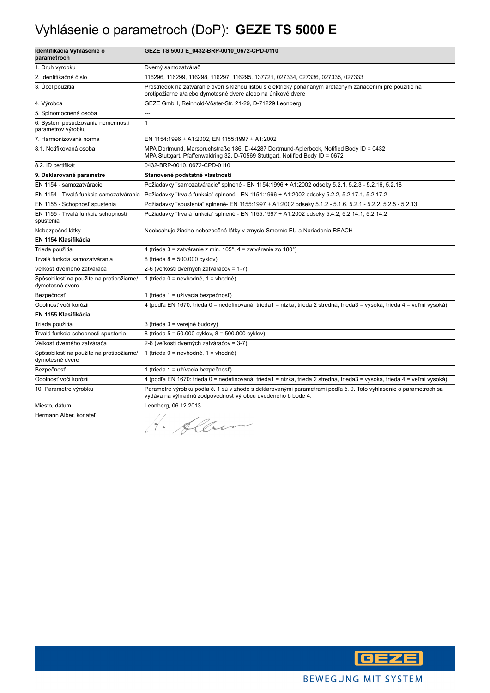# Vyhlásenie o parametroch (DoP): **GEZE TS 5000 E**

| Identifikácia Vyhlásenie o<br>parametroch                   | GEZE TS 5000 E_0432-BRP-0010_0672-CPD-0110                                                                                                                                      |
|-------------------------------------------------------------|---------------------------------------------------------------------------------------------------------------------------------------------------------------------------------|
| 1. Druh výrobku                                             | Dverný samozatvárač                                                                                                                                                             |
| 2. Identifikačné číslo                                      | 116296, 116299, 116298, 116297, 116295, 137721, 027334, 027336, 027335, 027333                                                                                                  |
| 3. Účel použitia                                            | Prostriedok na zatváranie dverí s klznou lištou s elektricky poháňaným aretačným zariadením pre použitie na<br>protipožiarne a/alebo dymotesné dvere alebo na únikové dvere     |
| 4. Výrobca                                                  | GEZE GmbH, Reinhold-Vöster-Str. 21-29, D-71229 Leonberg                                                                                                                         |
| 5. Splnomocnená osoba                                       | ---                                                                                                                                                                             |
| 6. Systém posudzovania nemennosti<br>parametrov výrobku     | $\mathbf{1}$                                                                                                                                                                    |
| 7. Harmonizovaná norma                                      | EN 1154:1996 + A1:2002, EN 1155:1997 + A1:2002                                                                                                                                  |
| 8.1. Notifikovaná osoba                                     | MPA Dortmund, Marsbruchstraße 186, D-44287 Dortmund-Aplerbeck, Notified Body ID = 0432<br>MPA Stuttgart, Pfaffenwaldring 32, D-70569 Stuttgart, Notified Body ID = 0672         |
| 8.2. ID certifikát                                          | 0432-BRP-0010, 0672-CPD-0110                                                                                                                                                    |
| 9. Deklarované parametre                                    | Stanovené podstatné vlastnosti                                                                                                                                                  |
| EN 1154 - samozatváracie                                    | Požiadavky "samozatváracie" splnené - EN 1154:1996 + A1:2002 odseky 5.2.1, 5.2.3 - 5.2.16, 5.2.18                                                                               |
| EN 1154 - Trvalá funkcia samozatvárania                     | Požiadavky "trvalá funkcia" splnené - EN 1154:1996 + A1:2002 odseky 5.2.2, 5.2.17.1, 5.2.17.2                                                                                   |
| EN 1155 - Schopnosť spustenia                               | Požiadavky "spustenia" splnené- EN 1155:1997 + A1:2002 odseky 5.1.2 - 5.1.6, 5.2.1 - 5.2.2, 5.2.5 - 5.2.13                                                                      |
| EN 1155 - Trvalá funkcia schopnosti<br>spustenia            | Požiadavky "trvalá funkcia" splnené - EN 1155:1997 + A1:2002 odseky 5.4.2, 5.2.14.1, 5.2.14.2                                                                                   |
| Nebezpečné látky                                            | Neobsahuje žiadne nebezpečné látky v zmysle Smerníc EU a Nariadenia REACH                                                                                                       |
| EN 1154 Klasifikácia                                        |                                                                                                                                                                                 |
| Trieda použitia                                             | 4 (trieda 3 = zatváranie z min. 105°, 4 = zatváranie zo 180°)                                                                                                                   |
| Trvalá funkcia samozatvárania                               | 8 (trieda 8 = 500.000 cyklov)                                                                                                                                                   |
| Veľkosť dverného zatvárača                                  | 2-6 (veľkosti dverných zatváračov = 1-7)                                                                                                                                        |
| Spôsobilosť na použite na protipožiarne/<br>dymotesné dvere | 1 (trieda $0 =$ nevhodné, 1 = vhodné)                                                                                                                                           |
| Bezpečnosť                                                  | 1 (trieda 1 = užívacia bezpečnosť)                                                                                                                                              |
| Odolnosť voči korózii                                       | 4 (podľa EN 1670: trieda 0 = nedefinovaná, trieda1 = nízka, trieda 2 stredná, trieda3 = vysoká, trieda 4 = veľmi vysoká)                                                        |
| EN 1155 Klasifikácia                                        |                                                                                                                                                                                 |
| Trieda použitia                                             | 3 (trieda 3 = verejné budovy)                                                                                                                                                   |
| Trvalá funkcia schopnosti spustenia                         | 8 (trieda 5 = 50.000 cyklov, 8 = 500.000 cyklov)                                                                                                                                |
| Veľkosť dverného zatvárača                                  | 2-6 (veľkosti dverných zatváračov = 3-7)                                                                                                                                        |
| Spôsobilosť na použite na protipožiarne/<br>dymotesné dvere | 1 (trieda $0 =$ nevhodné, 1 = vhodné)                                                                                                                                           |
| Bezpečnosť                                                  | 1 (trieda 1 = užívacia bezpečnosť)                                                                                                                                              |
| Odolnosť voči korózii                                       | 4 (podľa EN 1670: trieda 0 = nedefinovaná, trieda1 = nízka, trieda 2 stredná, trieda3 = vysoká, trieda 4 = veľmi vysoká)                                                        |
| 10. Parametre výrobku                                       | Parametre výrobku podľa č. 1 sú v zhode s deklarovanými parametrami podľa č. 9. Toto vyhlásenie o parametroch sa<br>vydáva na výhradnú zodpovednosť výrobcu uvedeného b bode 4. |
| Miesto, dátum                                               | Leonberg, 06.12.2013                                                                                                                                                            |
| Hermann Alber, konateľ                                      | H. Alben                                                                                                                                                                        |

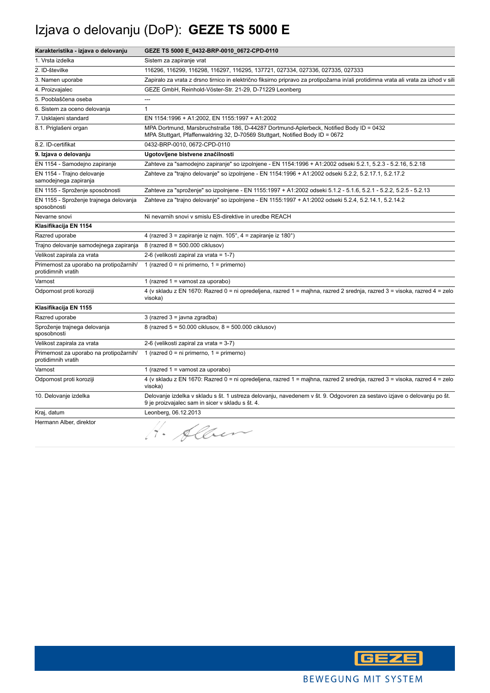# Izjava o delovanju (DoP): **GEZE TS 5000 E**

| Karakteristika - izjava o delovanju                           | GEZE TS 5000 E_0432-BRP-0010_0672-CPD-0110                                                                                                                                  |
|---------------------------------------------------------------|-----------------------------------------------------------------------------------------------------------------------------------------------------------------------------|
| 1. Vrsta izdelka                                              | Sistem za zapiranje vrat                                                                                                                                                    |
| 2. ID-številke                                                | 116296, 116299, 116298, 116297, 116295, 137721, 027334, 027336, 027335, 027333                                                                                              |
| 3. Namen uporabe                                              | Zapiralo za vrata z drsno tirnico in električno fiksirno pripravo za protipožarna in/ali protidimna vrata ali vrata za izhod v sili                                         |
| 4. Proizvajalec                                               | GEZE GmbH, Reinhold-Vöster-Str. 21-29, D-71229 Leonberg                                                                                                                     |
| 5. Pooblaščena oseba                                          | $---$                                                                                                                                                                       |
| 6. Sistem za oceno delovanja                                  | $\mathbf{1}$                                                                                                                                                                |
| 7. Usklajeni standard                                         | EN 1154:1996 + A1:2002, EN 1155:1997 + A1:2002                                                                                                                              |
| 8.1. Priglašeni organ                                         | MPA Dortmund, Marsbruchstraße 186, D-44287 Dortmund-Aplerbeck, Notified Body ID = 0432<br>MPA Stuttgart, Pfaffenwaldring 32, D-70569 Stuttgart, Notified Body ID = 0672     |
| 8.2. ID-certifikat                                            | 0432-BRP-0010, 0672-CPD-0110                                                                                                                                                |
| 9. Izjava o delovanju                                         | Ugotovljene bistvene značilnosti                                                                                                                                            |
| EN 1154 - Samodejno zapiranje                                 | Zahteve za "samodejno zapiranje" so izpolnjene - EN 1154:1996 + A1:2002 odseki 5.2.1, 5.2.3 - 5.2.16, 5.2.18                                                                |
| EN 1154 - Trajno delovanje<br>samodejnega zapiranja           | Zahteve za "trajno delovanje" so izpolnjene - EN 1154:1996 + A1:2002 odseki 5.2.2, 5.2.17.1, 5.2.17.2                                                                       |
| EN 1155 - Sproženje sposobnosti                               | Zahteve za "sproženje" so izpolnjene - EN 1155:1997 + A1:2002 odseki 5.1.2 - 5.1.6, 5.2.1 - 5.2.2, 5.2.5 - 5.2.13                                                           |
| EN 1155 - Sproženje trajnega delovanja<br>sposobnosti         | Zahteve za "trajno delovanje" so izpolnjene - EN 1155:1997 + A1:2002 odseki 5.2.4, 5.2.14.1, 5.2.14.2                                                                       |
| Nevarne snovi                                                 | Ni nevarnih snovi v smislu ES-direktive in uredbe REACH                                                                                                                     |
| Klasifikacija EN 1154                                         |                                                                                                                                                                             |
| Razred uporabe                                                | 4 (razred 3 = zapiranje iz najm. $105^\circ$ , 4 = zapiranje iz 180 $^\circ$ )                                                                                              |
| Trajno delovanje samodejnega zapiranja                        | 8 (razred 8 = 500.000 ciklusov)                                                                                                                                             |
| Velikost zapirala za vrata                                    | 2-6 (velikosti zapiral za vrata = 1-7)                                                                                                                                      |
| Primernost za uporabo na protipožarnih/<br>protidimnih vratih | 1 (razred $0 = ni$ primerno, $1 = p$ rimerno)                                                                                                                               |
| Varnost                                                       | 1 (razred $1 =$ varnost za uporabo)                                                                                                                                         |
| Odpornost proti koroziji                                      | 4 (v skladu z EN 1670: Razred 0 = ni opredeljena, razred 1 = majhna, razred 2 srednja, razred 3 = visoka, razred 4 = zelo<br>visoka)                                        |
| Klasifikacija EN 1155                                         |                                                                                                                                                                             |
| Razred uporabe                                                | $3$ (razred $3 =$ javna zgradba)                                                                                                                                            |
| Sproženje trajnega delovanja<br>sposobnosti                   | 8 (razred 5 = 50.000 ciklusov, 8 = 500.000 ciklusov)                                                                                                                        |
| Velikost zapirala za vrata                                    | 2-6 (velikosti zapiral za vrata = 3-7)                                                                                                                                      |
| Primernost za uporabo na protipožarnih/<br>protidimnih vratih | 1 (razred $0 = ni$ primerno, $1 = prime$ rno)                                                                                                                               |
| Varnost                                                       | 1 (razred $1 =$ varnost za uporabo)                                                                                                                                         |
| Odpornost proti koroziji                                      | 4 (v skladu z EN 1670: Razred 0 = ni opredeljena, razred 1 = majhna, razred 2 srednja, razred 3 = visoka, razred 4 = zelo<br>visoka)                                        |
| 10. Delovanje izdelka                                         | Delovanje izdelka v skladu s št. 1 ustreza delovanju, navedenem v št. 9. Odgovoren za sestavo izjave o delovanju po št.<br>9 je proizvajalec sam in sicer v skladu s št. 4. |
| Kraj, datum                                                   | Leonberg, 06.12.2013                                                                                                                                                        |
| Hermann Alber, direktor                                       | H. Alben                                                                                                                                                                    |

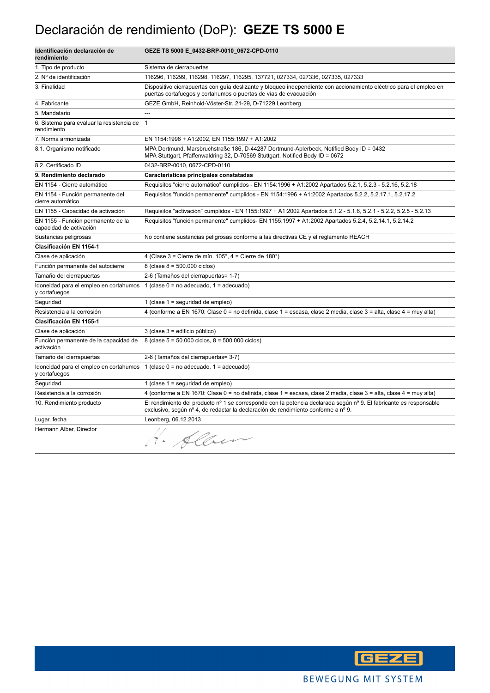# Declaración de rendimiento (DoP): **GEZE TS 5000 E**

| Identificación declaración de<br>rendimiento                  | GEZE TS 5000 E_0432-BRP-0010_0672-CPD-0110                                                                                                                                                              |
|---------------------------------------------------------------|---------------------------------------------------------------------------------------------------------------------------------------------------------------------------------------------------------|
| 1. Tipo de producto                                           | Sistema de cierrapuertas                                                                                                                                                                                |
| 2. Nº de identificación                                       | 116296, 116299, 116298, 116297, 116295, 137721, 027334, 027336, 027335, 027333                                                                                                                          |
| 3. Finalidad                                                  | Dispositivo cierrapuertas con guía deslizante y bloqueo independiente con accionamiento eléctrico para el empleo en<br>puertas cortafuegos y cortahumos o puertas de vías de evacuación                 |
| 4. Fabricante                                                 | GEZE GmbH, Reinhold-Vöster-Str. 21-29, D-71229 Leonberg                                                                                                                                                 |
| 5. Mandatario                                                 | ---                                                                                                                                                                                                     |
| 6. Sistema para evaluar la resistencia de<br>rendimiento      | $\mathbf{1}$                                                                                                                                                                                            |
| 7. Norma armonizada                                           | EN 1154:1996 + A1:2002. EN 1155:1997 + A1:2002                                                                                                                                                          |
| 8.1. Organismo notificado                                     | MPA Dortmund, Marsbruchstraße 186, D-44287 Dortmund-Aplerbeck, Notified Body ID = 0432<br>MPA Stuttgart, Pfaffenwaldring 32, D-70569 Stuttgart, Notified Body ID = 0672                                 |
| 8.2. Certificado ID                                           | 0432-BRP-0010, 0672-CPD-0110                                                                                                                                                                            |
| 9. Rendimiento declarado                                      | Características principales constatadas                                                                                                                                                                 |
| EN 1154 - Cierre automático                                   | Requisitos "cierre automático" cumplidos - EN 1154:1996 + A1:2002 Apartados 5.2.1, 5.2.3 - 5.2.16, 5.2.18                                                                                               |
| EN 1154 - Función permanente del<br>cierre automático         | Requisitos "función permanente" cumplidos - EN 1154:1996 + A1:2002 Apartados 5.2.2, 5.2.17.1, 5.2.17.2                                                                                                  |
| EN 1155 - Capacidad de activación                             | Requisitos "activación" cumplidos - EN 1155:1997 + A1:2002 Apartados 5.1.2 - 5.1.6, 5.2.1 - 5.2.2, 5.2.5 - 5.2.13                                                                                       |
| EN 1155 - Función permanente de la<br>capacidad de activación | Requisitos "función permanente" cumplidos- EN 1155:1997 + A1:2002 Apartados 5.2.4, 5.2.14.1, 5.2.14.2                                                                                                   |
| Sustancias peligrosas                                         | No contiene sustancias peligrosas conforme a las directivas CE y el reglamento REACH                                                                                                                    |
| Clasificación EN 1154-1                                       |                                                                                                                                                                                                         |
| Clase de aplicación                                           | 4 (Clase 3 = Cierre de mín. 105°, 4 = Cierre de 180°)                                                                                                                                                   |
| Función permanente del autocierre                             | 8 (clase $8 = 500.000$ ciclos)                                                                                                                                                                          |
| Tamaño del cierrapuertas                                      | 2-6 (Tamaños del cierrapuertas= 1-7)                                                                                                                                                                    |
| Idoneidad para el empleo en cortahumos<br>y cortafuegos       | 1 (clase $0 = no$ adecuado, $1 =$ adecuado)                                                                                                                                                             |
| Seguridad                                                     | 1 (clase $1 =$ seguridad de empleo)                                                                                                                                                                     |
| Resistencia a la corrosión                                    | 4 (conforme a EN 1670: Clase 0 = no definida, clase 1 = escasa, clase 2 media, clase 3 = alta, clase 4 = muy alta)                                                                                      |
| Clasificación EN 1155-1                                       |                                                                                                                                                                                                         |
| Clase de aplicación                                           | 3 (clase 3 = edificio público)                                                                                                                                                                          |
| Función permanente de la capacidad de<br>activación           | 8 (clase $5 = 50.000$ ciclos, $8 = 500.000$ ciclos)                                                                                                                                                     |
| Tamaño del cierrapuertas                                      | 2-6 (Tamaños del cierrapuertas= 3-7)                                                                                                                                                                    |
| y cortafuegos                                                 | Idoneidad para el empleo en cortahumos 1 (clase 0 = no adecuado, 1 = adecuado)                                                                                                                          |
| Seguridad                                                     | 1 (clase $1 =$ seguridad de empleo)                                                                                                                                                                     |
| Resistencia a la corrosión                                    | 4 (conforme a EN 1670: Clase 0 = no definida, clase 1 = escasa, clase 2 media, clase 3 = alta, clase 4 = muy alta)                                                                                      |
| 10. Rendimiento producto                                      | El rendimiento del producto nº 1 se corresponde con la potencia declarada según nº 9. El fabricante es responsable<br>exclusivo, según nº 4, de redactar la declaración de rendimiento conforme a nº 9. |
| Lugar, fecha                                                  | Leonberg, 06.12.2013                                                                                                                                                                                    |
| Hermann Alber, Director                                       | . Allen                                                                                                                                                                                                 |

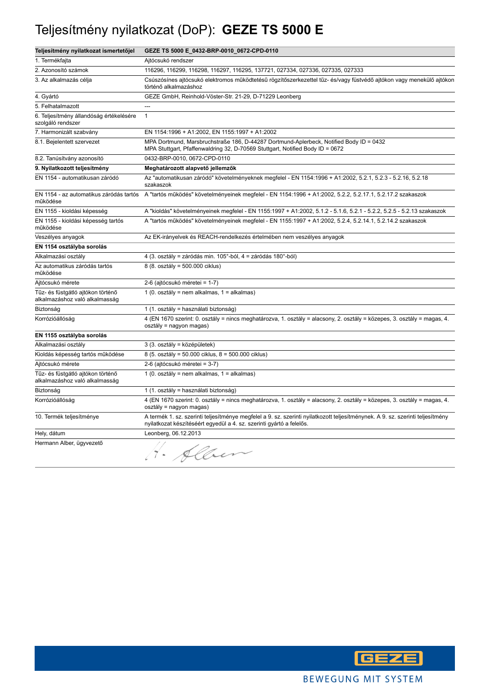#### Teljesítmény nyilatkozat (DoP): **GEZE TS 5000 E**

| Teljesítmény nyilatkozat ismertetőjel                               | GEZE TS 5000 E_0432-BRP-0010_0672-CPD-0110                                                                                                                                                             |
|---------------------------------------------------------------------|--------------------------------------------------------------------------------------------------------------------------------------------------------------------------------------------------------|
| 1. Termékfajta                                                      | Ajtócsukó rendszer                                                                                                                                                                                     |
| 2. Azonosító számok                                                 | 116296, 116299, 116298, 116297, 116295, 137721, 027334, 027336, 027335, 027333                                                                                                                         |
| 3. Az alkalmazás célja                                              | Csúszósínes ajtócsukó elektromos működtetésű rögzítőszerkezettel tűz- és/vagy füstvédő ajtókon vagy menekülő ajtókon<br>történő alkalmazáshoz                                                          |
| 4. Gyártó                                                           | GEZE GmbH, Reinhold-Vöster-Str. 21-29, D-71229 Leonberg                                                                                                                                                |
| 5. Felhatalmazott                                                   | ---                                                                                                                                                                                                    |
| 6. Teljesítmény állandóság értékelésére<br>szolgáló rendszer        | $\mathbf{1}$                                                                                                                                                                                           |
| 7. Harmonizált szabvány                                             | EN 1154:1996 + A1:2002, EN 1155:1997 + A1:2002                                                                                                                                                         |
| 8.1. Bejelentett szervezet                                          | MPA Dortmund, Marsbruchstraße 186, D-44287 Dortmund-Aplerbeck, Notified Body ID = 0432<br>MPA Stuttgart, Pfaffenwaldring 32, D-70569 Stuttgart, Notified Body ID = 0672                                |
| 8.2. Tanúsítvány azonosító                                          | 0432-BRP-0010, 0672-CPD-0110                                                                                                                                                                           |
| 9. Nyilatkozott teljesítmény                                        | Meghatározott alapvető jellemzők                                                                                                                                                                       |
| EN 1154 - automatikusan záródó                                      | Az "automatikusan záródó" követelményeknek megfelel - EN 1154:1996 + A1:2002, 5.2.1, 5.2.3 - 5.2.16, 5.2.18<br>szakaszok                                                                               |
| működése                                                            | EN 1154 - az automatikus záródás tartós A "tartós működés" követelményeinek megfelel - EN 1154:1996 + A1:2002, 5.2.2, 5.2.17.1, 5.2.17.2 szakaszok                                                     |
| EN 1155 - kioldási képesség                                         | A "kioldás" követelményeinek megfelel - EN 1155:1997 + A1:2002, 5.1.2 - 5.1.6, 5.2.1 - 5.2.2, 5.2.5 - 5.2.13 szakaszok                                                                                 |
| EN 1155 - kioldási képesség tartós<br>működése                      | A "tartós működés" követelményeinek megfelel - EN 1155:1997 + A1:2002, 5.2.4, 5.2.14.1, 5.2.14.2 szakaszok                                                                                             |
| Veszélyes anyagok                                                   | Az EK-irányelvek és REACH-rendelkezés értelmében nem veszélyes anyagok                                                                                                                                 |
| EN 1154 osztályba sorolás                                           |                                                                                                                                                                                                        |
| Alkalmazási osztály                                                 | 4 (3. osztály = záródás min. 105°-ból, 4 = záródás 180°-ból)                                                                                                                                           |
| Az automatikus záródás tartós<br>működése                           | 8 (8. osztály = 500.000 ciklus)                                                                                                                                                                        |
| Ajtócsukó mérete                                                    | 2-6 (ajtócsukó méretei = 1-7)                                                                                                                                                                          |
| Tűz- és füstgátló ajtókon történő<br>alkalmazáshoz való alkalmasság | 1 (0. osztály = nem alkalmas, 1 = alkalmas)                                                                                                                                                            |
| Biztonság                                                           | 1 (1. osztály = használati biztonság)                                                                                                                                                                  |
| Korrózióállóság                                                     | 4 (EN 1670 szerint: 0. osztály = nincs meghatározva, 1. osztály = alacsony, 2. osztály = közepes, 3. osztály = magas, 4.<br>osztály = nagyon magas)                                                    |
| EN 1155 osztályba sorolás                                           |                                                                                                                                                                                                        |
| Alkalmazási osztály                                                 | 3 (3. osztály = középületek)                                                                                                                                                                           |
| Kioldás képesség tartós működése                                    | 8 (5. osztály = 50.000 ciklus, 8 = 500.000 ciklus)                                                                                                                                                     |
| Ajtócsukó mérete                                                    | 2-6 (ajtócsukó méretei = 3-7)                                                                                                                                                                          |
| Tűz- és füstgátló ajtókon történő<br>alkalmazáshoz való alkalmasság | 1 (0. osztály = nem alkalmas, 1 = alkalmas)                                                                                                                                                            |
| Biztonság                                                           | 1 (1. osztály = használati biztonság)                                                                                                                                                                  |
| Korrózióállóság                                                     | 4 (EN 1670 szerint: 0. osztály = nincs meghatározva, 1. osztály = alacsony, 2. osztály = közepes, 3. osztály = magas, 4.<br>osztály = nagyon magas)                                                    |
| 10. Termék teljesítménye                                            | A termék 1. sz. szerinti teljesítménye megfelel a 9. sz. szerinti nyilatkozott teljesítménynek. A 9. sz. szerinti teljesítmény<br>nyilatkozat készítéséért egyedül a 4. sz. szerinti gyártó a felelős. |
| Hely, dátum                                                         | Leonberg, 06.12.2013                                                                                                                                                                                   |
| Hermann Alber, ügyvezető                                            | H. Alben                                                                                                                                                                                               |

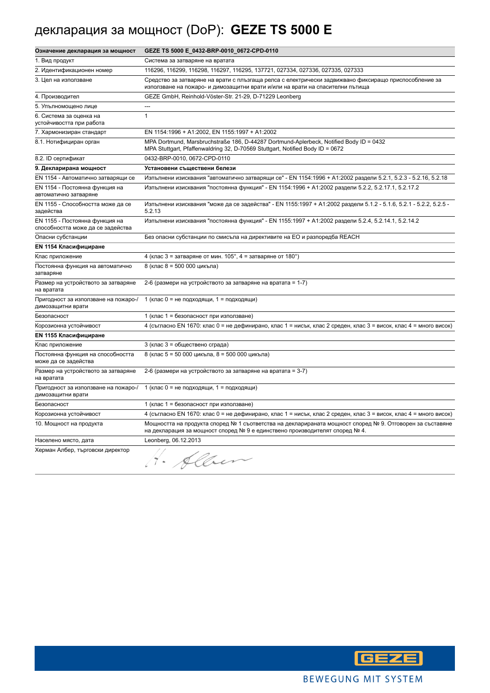# декларация за мощност (DoP): **GEZE TS 5000 E**

| Означение декларация за мощност                                     | GEZE TS 5000 E_0432-BRP-0010_0672-CPD-0110                                                                                                                                              |
|---------------------------------------------------------------------|-----------------------------------------------------------------------------------------------------------------------------------------------------------------------------------------|
| 1. Вид продукт                                                      | Система за затваряне на вратата                                                                                                                                                         |
| 2. Идентификационен номер                                           | 116296, 116299, 116298, 116297, 116295, 137721, 027334, 027336, 027335, 027333                                                                                                          |
| 3. Цел на използване                                                | Средство за затваряне на врати с плъзгаща релса с електрически задвижвано фиксиращо приспособление за<br>използване на пожаро- и димозащитни врати и/или на врати на спасителни пътища  |
| 4. Производител                                                     | GEZE GmbH, Reinhold-Vöster-Str. 21-29, D-71229 Leonberg                                                                                                                                 |
| 5. Упълномощено лице                                                |                                                                                                                                                                                         |
| 6. Система за оценка на<br>устойчивостта при работа                 | $\mathbf{1}$                                                                                                                                                                            |
| 7. Хармонизиран стандарт                                            | EN 1154:1996 + A1:2002, EN 1155:1997 + A1:2002                                                                                                                                          |
| 8.1. Нотифициран орган                                              | MPA Dortmund, Marsbruchstraße 186, D-44287 Dortmund-Aplerbeck, Notified Body ID = 0432<br>MPA Stuttgart, Pfaffenwaldring 32, D-70569 Stuttgart, Notified Body ID = 0672                 |
| 8.2. ID сертификат                                                  | 0432-BRP-0010, 0672-CPD-0110                                                                                                                                                            |
| 9. Декларирана мощност                                              | Установени съществени белези                                                                                                                                                            |
| EN 1154 - Автоматично затварящи се                                  | Изпълнени изисквания "автоматично затварящи се" - EN 1154:1996 + A1:2002 раздели 5.2.1, 5.2.3 - 5.2.16, 5.2.18                                                                          |
| EN 1154 - Постоянна функция на<br>автоматично затваряне             | Изпълнени изисквания "постоянна функция" - EN 1154:1996 + A1:2002 раздели 5.2.2, 5.2.17.1, 5.2.17.2                                                                                     |
| EN 1155 - Способността може да се<br>задейства                      | Изпълнени изисквания "може да се задейства" - EN 1155:1997 + A1:2002 раздели 5.1.2 - 5.1.6, 5.2.1 - 5.2.2, 5.2.5 -<br>5.2.13                                                            |
| EN 1155 - Постоянна функция на<br>способността може да се задейства | Изпълнени изисквания "постоянна функция" - EN 1155:1997 + A1:2002 раздели 5.2.4, 5.2.14.1, 5.2.14.2                                                                                     |
| Опасни субстанции                                                   | Без опасни субстанции по смисъла на директивите на ЕО и разпоредба REACH                                                                                                                |
| <b>EN 1154 Класифициране</b>                                        |                                                                                                                                                                                         |
| Клас приложение                                                     | 4 (клас 3 = затваряне от мин. $105^{\circ}$ , 4 = затваряне от 180°)                                                                                                                    |
| Постоянна функция на автоматично<br>затваряне                       | 8 (клас 8 = 500 000 цикъла)                                                                                                                                                             |
| Размер на устройството за затваряне<br>на вратата                   | 2-6 (размери на устройството за затваряне на вратата = 1-7)                                                                                                                             |
| Пригодност за използване на пожаро-/<br>димозащитни врати           | 1 (клас 0 = не подходящи, 1 = подходящи)                                                                                                                                                |
| Безопасност                                                         | 1 (клас 1 = безопасност при използване)                                                                                                                                                 |
| Корозионна устойчивост                                              | 4 (съгласно EN 1670: клас 0 = не дефинирано, клас 1 = нисък, клас 2 среден, клас 3 = висок, клас 4 = много висок)                                                                       |
| EN 1155 Класифициране                                               |                                                                                                                                                                                         |
| Клас приложение                                                     | 3 (клас 3 = обществено сграда)                                                                                                                                                          |
| Постоянна функция на способността<br>може да се задейства           | 8 (клас 5 = 50 000 цикъла, 8 = 500 000 цикъла)                                                                                                                                          |
| Размер на устройството за затваряне<br>на вратата                   | 2-6 (размери на устройството за затваряне на вратата = 3-7)                                                                                                                             |
| Пригодност за използване на пожаро-/<br>димозащитни врати           | 1 (клас 0 = не подходящи, 1 = подходящи)                                                                                                                                                |
| Безопасност                                                         | 1 (клас 1 = безопасност при използване)                                                                                                                                                 |
| Корозионна устойчивост                                              | 4 (съгласно EN 1670: клас 0 = не дефинирано, клас 1 = нисък, клас 2 среден, клас 3 = висок, клас 4 = много висок)                                                                       |
| 10. Мощност на продукта                                             | Мощността на продукта според № 1 съответства на декларираната мощност според № 9. Отговорен за съставяне<br>на декларация за мощност според № 9 е единствено производителят според № 4. |
| Населено място, дата                                                | Leonberg, 06.12.2013                                                                                                                                                                    |
| Херман Албер, търговски директор                                    | H. Alben                                                                                                                                                                                |

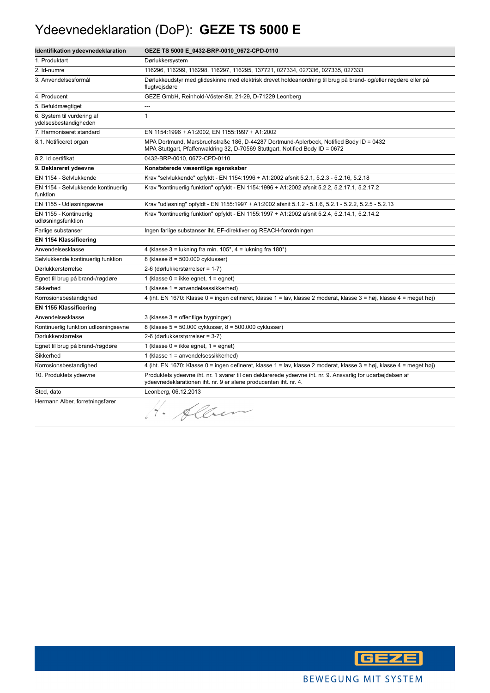#### Ydeevnedeklaration (DoP): **GEZE TS 5000 E**

| Identifikation ydeevnedeklaration                   | GEZE TS 5000 E_0432-BRP-0010_0672-CPD-0110                                                                                                                                      |
|-----------------------------------------------------|---------------------------------------------------------------------------------------------------------------------------------------------------------------------------------|
| 1. Produktart                                       | Dørlukkersystem                                                                                                                                                                 |
| 2. Id-numre                                         | 116296, 116299, 116298, 116297, 116295, 137721, 027334, 027336, 027335, 027333                                                                                                  |
| 3. Anvendelsesformål                                | Dørlukkeudstyr med glideskinne med elektrisk drevet holdeanordning til brug på brand- og/eller røgdøre eller på<br>flugtvejsdøre                                                |
| 4. Producent                                        | GEZE GmbH, Reinhold-Vöster-Str. 21-29, D-71229 Leonberg                                                                                                                         |
| 5. Befuldmægtiget                                   | ---                                                                                                                                                                             |
| 6. System til vurdering af<br>ydelsesbestandigheden | $\mathbf{1}$                                                                                                                                                                    |
| 7. Harmoniseret standard                            | EN 1154:1996 + A1:2002, EN 1155:1997 + A1:2002                                                                                                                                  |
| 8.1. Notificeret organ                              | MPA Dortmund, Marsbruchstraße 186, D-44287 Dortmund-Aplerbeck, Notified Body ID = 0432<br>MPA Stuttgart, Pfaffenwaldring 32, D-70569 Stuttgart, Notified Body ID = 0672         |
| 8.2. Id certifikat                                  | 0432-BRP-0010, 0672-CPD-0110                                                                                                                                                    |
| 9. Deklareret ydeevne                               | Konstaterede væsentlige egenskaber                                                                                                                                              |
| EN 1154 - Selvlukkende                              | Krav "selvlukkende" opfyldt - EN 1154:1996 + A1:2002 afsnit 5.2.1, 5.2.3 - 5.2.16, 5.2.18                                                                                       |
| EN 1154 - Selvlukkende kontinuerlig<br>funktion     | Krav "kontinuerlig funktion" opfyldt - EN 1154:1996 + A1:2002 afsnit 5.2.2, 5.2.17.1, 5.2.17.2                                                                                  |
| EN 1155 - Udløsningsevne                            | Krav "udløsning" opfyldt - EN 1155:1997 + A1:2002 afsnit 5.1.2 - 5.1.6, 5.2.1 - 5.2.2, 5.2.5 - 5.2.13                                                                           |
| EN 1155 - Kontinuerlig<br>udløsningsfunktion        | Krav "kontinuerlig funktion" opfyldt - EN 1155:1997 + A1:2002 afsnit 5.2.4, 5.2.14.1, 5.2.14.2                                                                                  |
| Farlige substanser                                  | Ingen farlige substanser iht. EF-direktiver og REACH-forordningen                                                                                                               |
| <b>EN 1154 Klassificering</b>                       |                                                                                                                                                                                 |
| Anvendelsesklasse                                   | 4 (klasse 3 = lukning fra min. $105^\circ$ , 4 = lukning fra $180^\circ$ )                                                                                                      |
| Selvlukkende kontinuerlig funktion                  | 8 (klasse 8 = 500.000 cyklusser)                                                                                                                                                |
| Dørlukkerstørrelse                                  | 2-6 (dørlukkerstørrelser = 1-7)                                                                                                                                                 |
| Egnet til brug på brand-/røgdøre                    | 1 (klasse $0 =$ ikke egnet, $1 =$ egnet)                                                                                                                                        |
| Sikkerhed                                           | 1 (klasse 1 = anvendelsessikkerhed)                                                                                                                                             |
| Korrosionsbestandighed                              | 4 (iht. EN 1670: Klasse 0 = ingen defineret, klasse 1 = lav, klasse 2 moderat, klasse 3 = høj, klasse 4 = meget høj)                                                            |
| <b>EN 1155 Klassificering</b>                       |                                                                                                                                                                                 |
| Anvendelsesklasse                                   | 3 (klasse 3 = offentlige bygninger)                                                                                                                                             |
| Kontinuerlig funktion udløsningsevne                | 8 (klasse 5 = 50.000 cyklusser, 8 = 500.000 cyklusser)                                                                                                                          |
| Dørlukkerstørrelse                                  | 2-6 (dørlukkerstørrelser = 3-7)                                                                                                                                                 |
| Egnet til brug på brand-/røgdøre                    | 1 (klasse $0 =$ ikke egnet, $1 =$ egnet)                                                                                                                                        |
| Sikkerhed                                           | 1 (klasse 1 = anvendelsessikkerhed)                                                                                                                                             |
| Korrosionsbestandighed                              | 4 (iht. EN 1670: Klasse 0 = ingen defineret, klasse 1 = lav, klasse 2 moderat, klasse 3 = høj, klasse 4 = meget høj)                                                            |
| 10. Produktets ydeevne                              | Produktets ydeevne iht. nr. 1 svarer til den deklarerede ydeevne iht. nr. 9. Ansvarlig for udarbejdelsen af<br>ydeevnedeklarationen iht. nr. 9 er alene producenten iht. nr. 4. |
| Sted, dato                                          | Leonberg, 06.12.2013                                                                                                                                                            |
| Hermann Alber, forretningsfører                     | · Alber                                                                                                                                                                         |

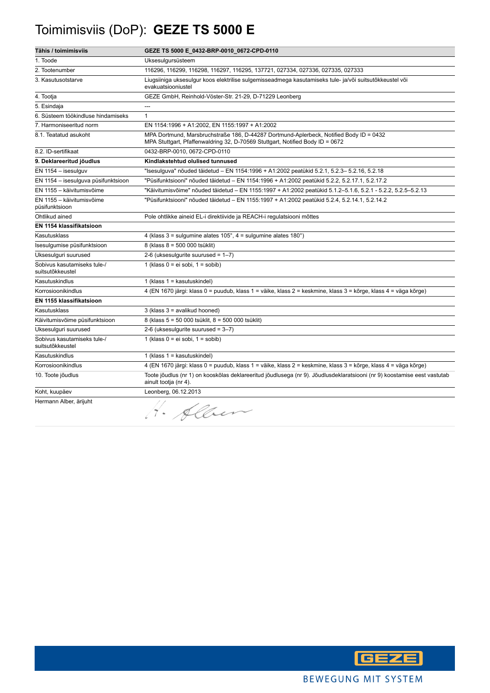# Toimimisviis (DoP): **GEZE TS 5000 E**

| Tähis / toimimisviis                            | GEZE TS 5000 E_0432-BRP-0010_0672-CPD-0110                                                                                                                              |
|-------------------------------------------------|-------------------------------------------------------------------------------------------------------------------------------------------------------------------------|
| 1. Toode                                        | Uksesulgursüsteem                                                                                                                                                       |
| 2. Tootenumber                                  | 116296, 116299, 116298, 116297, 116295, 137721, 027334, 027336, 027335, 027333                                                                                          |
| 3. Kasutusotstarve                              | Liugsiiniga uksesulgur koos elektrilise sulgemisseadmega kasutamiseks tule- ja/või suitsutõkkeustel või<br>evakuatsiooniustel                                           |
| 4. Tootja                                       | GEZE GmbH, Reinhold-Vöster-Str. 21-29, D-71229 Leonberg                                                                                                                 |
| 5. Esindaja                                     | ---                                                                                                                                                                     |
| 6. Süsteem töökindluse hindamiseks              | $\mathbf{1}$                                                                                                                                                            |
| 7. Harmoniseeritud norm                         | EN 1154:1996 + A1:2002, EN 1155:1997 + A1:2002                                                                                                                          |
| 8.1. Teatatud asukoht                           | MPA Dortmund, Marsbruchstraße 186, D-44287 Dortmund-Aplerbeck, Notified Body ID = 0432<br>MPA Stuttgart, Pfaffenwaldring 32, D-70569 Stuttgart, Notified Body ID = 0672 |
| 8.2. ID-sertifikaat                             | 0432-BRP-0010, 0672-CPD-0110                                                                                                                                            |
| 9. Deklareeritud jõudlus                        | Kindlakstehtud olulised tunnused                                                                                                                                        |
| $EN$ 1154 - isesulguv                           | "Isesulguva" nõuded täidetud – EN 1154:1996 + A1:2002 peatükid 5.2.1, 5.2.3– 5.2.16, 5.2.18                                                                             |
| EN 1154 - isesulguva püsifunktsioon             | "Püsifunktsiooni" nõuded täidetud – EN 1154:1996 + A1:2002 peatükid 5.2.2, 5.2.17.1, 5.2.17.2                                                                           |
| EN 1155 - käivitumisvõime                       | "Käivitumisvõime" nõuded täidetud - EN 1155:1997 + A1:2002 peatükid 5.1.2-5.1.6, 5.2.1 - 5.2.2, 5.2.5-5.2.13                                                            |
| EN 1155 - käivitumisvõime<br>püsifunktsioon     | "Püsifunktsiooni" nõuded täidetud - EN 1155:1997 + A1:2002 peatükid 5.2.4, 5.2.14.1, 5.2.14.2                                                                           |
| Ohtlikud ained                                  | Pole ohtlikke aineid EL-i direktiivide ja REACH-i regulatsiooni mõttes                                                                                                  |
| EN 1154 klassifikatsioon                        |                                                                                                                                                                         |
| Kasutusklass                                    | 4 (klass $3 =$ sulgumine alates $105^\circ$ , $4 =$ sulgumine alates $180^\circ$ )                                                                                      |
| Isesulgumise püsifunktsioon                     | 8 (klass 8 = 500 000 tsüklit)                                                                                                                                           |
| Uksesulguri suurused                            | 2-6 (uksesulgurite suurused = $1-7$ )                                                                                                                                   |
| Sobivus kasutamiseks tule-/<br>suitsutõkkeustel | 1 (klass $0 = ei$ sobi, $1 =$ sobib)                                                                                                                                    |
| Kasutuskindlus                                  | 1 (klass $1 =$ kasutuskindel)                                                                                                                                           |
| Korrosioonikindlus                              | 4 (EN 1670 järgi: klass 0 = puudub, klass 1 = väike, klass 2 = keskmine, klass 3 = kõrge, klass 4 = väga kõrge)                                                         |
| EN 1155 klassifikatsioon                        |                                                                                                                                                                         |
| Kasutusklass                                    | 3 (klass 3 = avalikud hooned)                                                                                                                                           |
| Käivitumisvõime püsifunktsioon                  | 8 (klass 5 = 50 000 tsüklit, 8 = 500 000 tsüklit)                                                                                                                       |
| Uksesulguri suurused                            | 2-6 (uksesulgurite suurused = $3-7$ )                                                                                                                                   |
| Sobivus kasutamiseks tule-/<br>suitsutõkkeustel | 1 (klass $0 = ei$ sobi, $1 =$ sobib)                                                                                                                                    |
| Kasutuskindlus                                  | 1 (klass $1 =$ kasutuskindel)                                                                                                                                           |
| Korrosioonikindlus                              | 4 (EN 1670 järgi: klass 0 = puudub, klass 1 = väike, klass 2 = keskmine, klass 3 = kõrge, klass 4 = väga kõrge)                                                         |
| 10. Toote jõudlus                               | Toote jõudlus (nr 1) on kooskõlas deklareeritud jõudlusega (nr 9). Jõudlusdeklaratsiooni (nr 9) koostamise eest vastutab<br>ainult tootja (nr 4).                       |
| Koht, kuupäev                                   | Leonberg, 06.12.2013                                                                                                                                                    |
| Hermann Alber, ärijuht                          | . Alben                                                                                                                                                                 |

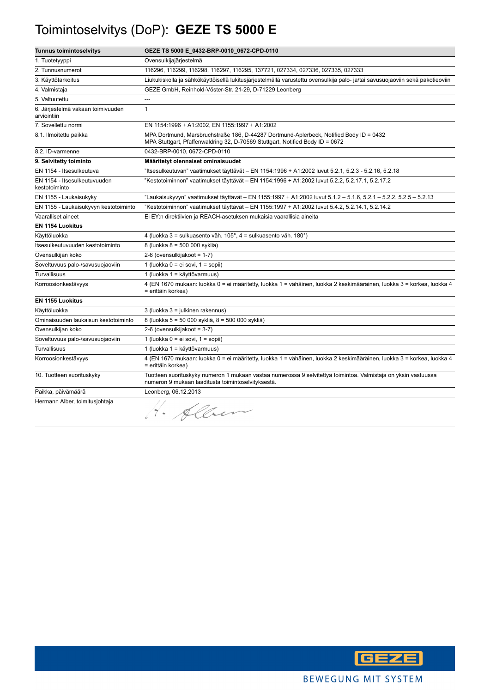# Toimintoselvitys (DoP): **GEZE TS 5000 E**

| <b>Tunnus toimintoselvitys</b>                   | GEZE TS 5000 E_0432-BRP-0010_0672-CPD-0110                                                                                                                              |
|--------------------------------------------------|-------------------------------------------------------------------------------------------------------------------------------------------------------------------------|
| 1. Tuotetyyppi                                   | Ovensulkijajärjestelmä                                                                                                                                                  |
| 2. Tunnusnumerot                                 | 116296, 116299, 116298, 116297, 116295, 137721, 027334, 027336, 027335, 027333                                                                                          |
| 3. Käyttötarkoitus                               | Liukukiskolla ja sähkökäyttöisellä lukitusjärjestelmällä varustettu ovensulkija palo- ja/tai savusuojaoviin sekä pakotieoviin                                           |
| 4. Valmistaja                                    | GEZE GmbH, Reinhold-Vöster-Str. 21-29, D-71229 Leonberg                                                                                                                 |
| 5. Valtuutettu                                   |                                                                                                                                                                         |
| 6. Järjestelmä vakaan toimivuuden<br>arviointiin | $\mathbf{1}$                                                                                                                                                            |
| 7. Sovellettu normi                              | EN 1154:1996 + A1:2002, EN 1155:1997 + A1:2002                                                                                                                          |
| 8.1. Ilmoitettu paikka                           | MPA Dortmund, Marsbruchstraße 186, D-44287 Dortmund-Aplerbeck, Notified Body ID = 0432<br>MPA Stuttgart, Pfaffenwaldring 32, D-70569 Stuttgart, Notified Body ID = 0672 |
| 8.2. ID-varmenne                                 | 0432-BRP-0010, 0672-CPD-0110                                                                                                                                            |
| 9. Selvitetty toiminto                           | Määritetyt olennaiset ominaisuudet                                                                                                                                      |
| EN 1154 - Itsesulkeutuva                         | ltsesulkeutuvan" vaatimukset täyttävät – EN 1154:1996 + A1:2002 luvut 5.2.1, 5.2.3 - 5.2.16, 5.2.18"                                                                    |
| EN 1154 - Itsesulkeutuvuuden<br>kestotoiminto    | "Kestotoiminnon" vaatimukset täyttävät – EN 1154:1996 + A1:2002 luvut 5.2.2, 5.2.17.1, 5.2.17.2                                                                         |
| EN 1155 - Laukaisukyky                           | "Laukaisukyvyn" vaatimukset täyttävät – EN 1155:1997 + A1:2002 luvut 5.1.2 – 5.1.6, 5.2.1 – 5.2.2, 5.2.5 – 5.2.13                                                       |
| EN 1155 - Laukaisukyvyn kestotoiminto            | Kestotoiminnon" vaatimukset täyttävät – EN 1155:1997 + A1:2002 luvut 5.4.2, 5.2.14.1, 5.2.14.2"                                                                         |
| Vaaralliset aineet                               | Ei EY:n direktiivien ja REACH-asetuksen mukaisia vaarallisia aineita                                                                                                    |
| <b>EN 1154 Luokitus</b>                          |                                                                                                                                                                         |
| Käyttöluokka                                     | 4 (luokka 3 = sulkuasento väh. 105°, 4 = sulkuasento väh. 180°)                                                                                                         |
| Itsesulkeutuvuuden kestotoiminto                 | 8 (luokka 8 = 500 000 sykliä)                                                                                                                                           |
| Ovensulkijan koko                                | 2-6 (ovensulkijakoot = 1-7)                                                                                                                                             |
| Soveltuvuus palo-/savusuojaoviin                 | 1 (luokka 0 = ei sovi, 1 = sopii)                                                                                                                                       |
| Turvallisuus                                     | 1 (luokka 1 = käyttövarmuus)                                                                                                                                            |
| Korroosionkestävyys                              | 4 (EN 1670 mukaan: luokka 0 = ei määritetty, luokka 1 = vähäinen, luokka 2 keskimääräinen, luokka 3 = korkea, luokka 4<br>= erittäin korkea)                            |
| <b>EN 1155 Luokitus</b>                          |                                                                                                                                                                         |
| Käyttöluokka                                     | 3 (luokka 3 = julkinen rakennus)                                                                                                                                        |
| Ominaisuuden laukaisun kestotoiminto             | 8 (luokka 5 = 50 000 sykliä, 8 = 500 000 sykliä)                                                                                                                        |
| Ovensulkijan koko                                | 2-6 (ovensulkijakoot = 3-7)                                                                                                                                             |
| Soveltuvuus palo-/savusuojaoviin                 | 1 (luokka $0 = ei$ sovi, $1 = sopii$ )                                                                                                                                  |
| <b>Turvallisuus</b>                              | 1 (luokka 1 = käyttövarmuus)                                                                                                                                            |
| Korroosionkestävyys                              | 4 (EN 1670 mukaan: luokka 0 = ei määritetty, luokka 1 = vähäinen, luokka 2 keskimääräinen, luokka 3 = korkea, luokka 4<br>= erittäin korkea)                            |
| 10. Tuotteen suorituskyky                        | Tuotteen suorituskyky numeron 1 mukaan vastaa numerossa 9 selvitettyä toimintoa. Valmistaja on yksin vastuussa<br>numeron 9 mukaan laaditusta toimintoselvityksestä.    |
| Paikka, päivämäärä                               | Leonberg, 06.12.2013                                                                                                                                                    |
| Hermann Alber, toimitusjohtaja                   | 1. Alben                                                                                                                                                                |

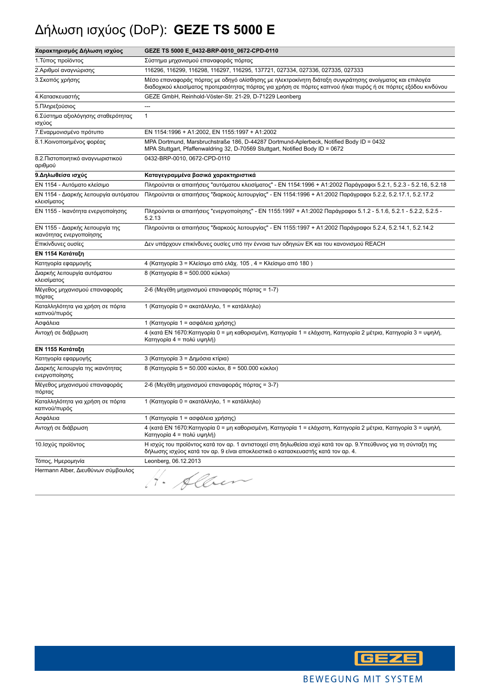# Δήλωση ισχύος (DoP): **GEZE TS 5000 E**

| Χαρακτηρισμός Δήλωση ισχύος                                  | GEZE TS 5000 E_0432-BRP-0010_0672-CPD-0110                                                                                                                                                                                |
|--------------------------------------------------------------|---------------------------------------------------------------------------------------------------------------------------------------------------------------------------------------------------------------------------|
| 1. Τύπος προϊόντος                                           | Σύστημα μηχανισμού επαναφοράς πόρτας                                                                                                                                                                                      |
| 2.Αριθμοί αναγνώρισης                                        | 116296, 116299, 116298, 116297, 116295, 137721, 027334, 027336, 027335, 027333                                                                                                                                            |
| 3. Σκοπός χρήσης                                             | Μέσο επαναφοράς πόρτας με οδηγό ολίσθησης με ηλεκτροκίνητη διάταξη συγκράτησης ανοίγματος και επιλογέα<br>διαδοχικού κλεισίματος προτεραιότητας πόρτας για χρήση σε πόρτες καπνού ή/και πυρός ή σε πόρτες εξόδου κινδύνου |
| 4. Κατασκευαστής                                             | GEZE GmbH, Reinhold-Vöster-Str. 21-29, D-71229 Leonberg                                                                                                                                                                   |
| 5. Πληρεξούσιος                                              | ---                                                                                                                                                                                                                       |
| 6. Σύστημα αξιολόγησης σταθερότητας<br>ισχύος                | $\mathbf{1}$                                                                                                                                                                                                              |
| 7. Εναρμονισμένο πρότυπο                                     | EN 1154:1996 + A1:2002, EN 1155:1997 + A1:2002                                                                                                                                                                            |
| 8.1. Κοινοποιημένος φορέας                                   | MPA Dortmund, Marsbruchstraße 186, D-44287 Dortmund-Aplerbeck, Notified Body ID = 0432<br>MPA Stuttgart, Pfaffenwaldring 32, D-70569 Stuttgart, Notified Body ID = 0672                                                   |
| 8.2. Πιστοποιητικό αναγνωριστικού<br>αριθμού                 | 0432-BRP-0010, 0672-CPD-0110                                                                                                                                                                                              |
| 9. Δηλωθείσα ισχύς                                           | Καταγεγραμμένα βασικά χαρακτηριστικά                                                                                                                                                                                      |
| ΕΝ 1154 - Αυτόματο κλείσιμο                                  | Πληρούνται οι απαιτήσεις "αυτόματου κλεισίματος" - ΕΝ 1154:1996 + Α1:2002 Παράγραφοι 5.2.1, 5.2.3 - 5.2.16, 5.2.18                                                                                                        |
| ΕΝ 1154 - Διαρκής λειτουργία αυτόματου<br>κλεισίματος        | Πληρούνται οι απαιτήσεις "διαρκούς λειτουργίας" - ΕΝ 1154:1996 + Α1:2002 Παράγραφοι 5.2.2, 5.2.17.1, 5.2.17.2                                                                                                             |
| ΕΝ 1155 - Ικανότητα ενεργοποίησης                            | Πληρούνται οι απαιτήσεις "ενεργοποίησης" - ΕΝ 1155:1997 + Α1:2002 Παράγραφοι 5.1.2 - 5.1.6, 5.2.1 - 5.2.2, 5.2.5 -<br>5.2.13                                                                                              |
| ΕΝ 1155 - Διαρκής λειτουργία της<br>ικανότητας ενεργοποίησης | Πληρούνται οι απαιτήσεις "διαρκούς λειτουργίας" - EN 1155:1997 + A1:2002 Παράγραφοι 5.2.4, 5.2.14.1, 5.2.14.2                                                                                                             |
| Επικίνδυνες ουσίες                                           | Δεν υπάρχουν επικίνδυνες ουσίες υπό την έννοια των οδηγιών ΕΚ και του κανονισμού REACH                                                                                                                                    |
| ΕΝ 1154 Κατάταξη                                             |                                                                                                                                                                                                                           |
| Κατηγορία εφαρμογής                                          | 4 (Κατηγορία 3 = Κλείσιμο από ελάχ. 105, 4 = Κλείσιμο από 180)                                                                                                                                                            |
| Διαρκής λειτουργία αυτόματου<br>κλεισίματος                  | 8 (Κατηγορία 8 = 500.000 κύκλοι)                                                                                                                                                                                          |
| Μέγεθος μηχανισμού επαναφοράς<br>πόρτας                      | 2-6 (Μεγέθη μηχανισμού επαναφοράς πόρτας = 1-7)                                                                                                                                                                           |
| Καταλληλότητα για χρήση σε πόρτα<br>καπνού/πυρός             | 1 (Κατηγορία 0 = ακατάλληλο, 1 = κατάλληλο)                                                                                                                                                                               |
| Ασφάλεια                                                     | 1 (Κατηγορία 1 = ασφάλεια χρήσης)                                                                                                                                                                                         |
| Αντοχή σε διάβρωση                                           | 4 (κατά ΕΝ 1670:Κατηγορία 0 = μη καθορισμένη, Κατηγορία 1 = ελάχιστη, Κατηγορία 2 μέτρια, Κατηγορία 3 = υψηλή,<br>Κατηγορία 4 = πολύ υψηλή)                                                                               |
| ΕΝ 1155 Κατάταξη                                             |                                                                                                                                                                                                                           |
| Κατηγορία εφαρμογής                                          | 3 (Κατηγορία 3 = Δημόσια κτίρια)                                                                                                                                                                                          |
| Διαρκής λειτουργία της ικανότητας<br>ενεργοποίησης           | 8 (Κατηγορία 5 = 50.000 κύκλοι, 8 = 500.000 κύκλοι)                                                                                                                                                                       |
| Μέγεθος μηχανισμού επαναφοράς<br>πόρτας                      | 2-6 (Μεγέθη μηχανισμού επαναφοράς πόρτας = 3-7)                                                                                                                                                                           |
| Καταλληλότητα για χρήση σε πόρτα<br>καπνού/πυρός             | 1 (Κατηγορία 0 = ακατάλληλο, 1 = κατάλληλο)                                                                                                                                                                               |
| Ασφάλεια                                                     | 1 (Κατηγορία 1 = ασφάλεια χρήσης)                                                                                                                                                                                         |
| Αντοχή σε διάβρωση                                           | 4 (κατά ΕΝ 1670:Κατηγορία 0 = μη καθορισμένη, Κατηγορία 1 = ελάχιστη, Κατηγορία 2 μέτρια, Κατηγορία 3 = υψηλή,<br>Κατηγορία 4 = πολύ υψηλή)                                                                               |
| 10. Ισχύς προϊόντος                                          | Η ισχύς του προϊόντος κατά τον αρ. 1 αντιστοιχεί στη δηλωθείσα ισχύ κατά τον αρ. 9.Υπεύθυνος για τη σύνταξη της<br>δήλωσης ισχύος κατά τον αρ. 9 είναι αποκλειστικά ο κατασκευαστής κατά τον αρ. 4.                       |
| Τόπος, Ημερομηνία                                            | Leonberg, 06.12.2013                                                                                                                                                                                                      |
| Hermann Alber, Διευθύνων σύμβουλος                           | Alber                                                                                                                                                                                                                     |

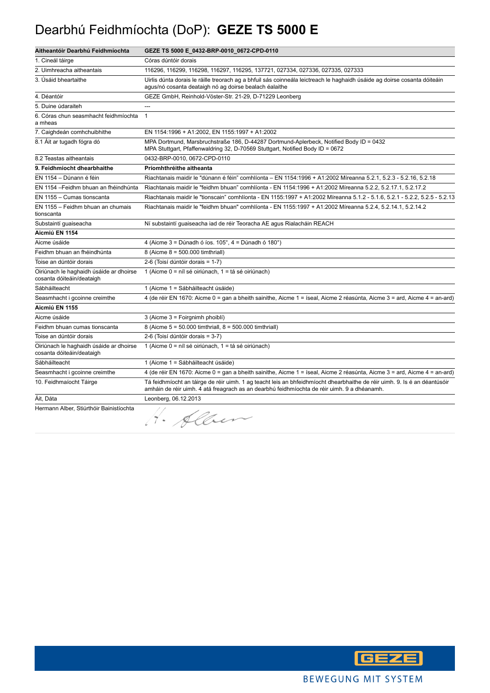#### Dearbhú Feidhmíochta (DoP): **GEZE TS 5000 E**

| Aitheantóir Dearbhú Feidhmíochta                                     | GEZE TS 5000 E_0432-BRP-0010_0672-CPD-0110                                                                                                                                                                               |
|----------------------------------------------------------------------|--------------------------------------------------------------------------------------------------------------------------------------------------------------------------------------------------------------------------|
| 1. Cineál táirge                                                     | Córas dúntóir dorais                                                                                                                                                                                                     |
| 2. Uimhreacha aitheantais                                            | 116296, 116299, 116298, 116297, 116295, 137721, 027334, 027336, 027335, 027333                                                                                                                                           |
| 3. Úsáid bheartaithe                                                 | Uirlis dúnta dorais le ráille treorach ag a bhfuil sás coinneála leictreach le haghaidh úsáide ag doirse cosanta dóiteáin<br>agus/nó cosanta deataigh nó ag doirse bealach éalaithe                                      |
| 4. Déantóir                                                          | GEZE GmbH, Reinhold-Vöster-Str. 21-29, D-71229 Leonberg                                                                                                                                                                  |
| 5. Duine údaraiteh                                                   |                                                                                                                                                                                                                          |
| 6. Córas chun seasmhacht feidhmíochta<br>a mheas                     | $\mathbf{1}$                                                                                                                                                                                                             |
| 7. Caighdeán comhchuibhithe                                          | EN 1154:1996 + A1:2002, EN 1155:1997 + A1:2002                                                                                                                                                                           |
| 8.1 Áit ar tugadh fógra dó                                           | MPA Dortmund, Marsbruchstraße 186, D-44287 Dortmund-Aplerbeck, Notified Body ID = 0432<br>MPA Stuttgart, Pfaffenwaldring 32, D-70569 Stuttgart, Notified Body ID = 0672                                                  |
| 8.2 Teastas aitheantais                                              | 0432-BRP-0010, 0672-CPD-0110                                                                                                                                                                                             |
| 9. Feidhmíocht dhearbhaithe                                          | Príomhthréithe aitheanta                                                                                                                                                                                                 |
| EN 1154 - Dúnann é féin                                              | Riachtanais maidir le "dúnann é féin" comhlíonta - EN 1154:1996 + A1:2002 Míreanna 5.2.1, 5.2.3 - 5.2.16, 5.2.18                                                                                                         |
| EN 1154 - Feidhm bhuan an fhéindhúnta                                | Riachtanais maidir le "feidhm bhuan" comhlíonta - EN 1154:1996 + A1:2002 Míreanna 5.2.2, 5.2.17.1, 5.2.17.2                                                                                                              |
| EN 1155 - Cumas tionscanta                                           | Riachtanais maidir le "tionscain" comhlíonta - EN 1155:1997 + A1:2002 Míreanna 5.1.2 - 5.1.6, 5.2.1 - 5.2.2, 5.2.5 - 5.2.13                                                                                              |
| EN 1155 - Feidhm bhuan an chumais<br>tionscanta                      | Riachtanais maidir le "feidhm bhuan" comhlíonta - EN 1155:1997 + A1:2002 Míreanna 5.2.4, 5.2.14.1, 5.2.14.2                                                                                                              |
| Substaintí guaiseacha                                                | Ní substaintí guaiseacha iad de réir Teoracha AE agus Rialacháin REACH                                                                                                                                                   |
| Aicmiú EN 1154                                                       |                                                                                                                                                                                                                          |
| Aicme úsáide                                                         | 4 (Aicme $3 =$ Dúnadh ó íos. 105°, $4 =$ Dúnadh ó 180°)                                                                                                                                                                  |
| Feidhm bhuan an fhéindhúnta                                          | 8 (Aicme 8 = 500.000 timthriall)                                                                                                                                                                                         |
| Toise an dúntóir dorais                                              | 2-6 (Toisí dúntóir dorais = 1-7)                                                                                                                                                                                         |
| Oiriúnach le haghaidh úsáide ar dhoirse<br>cosanta dóiteáin/deataigh | 1 (Aicme 0 = níl sé oiriúnach, 1 = tá sé oiriúnach)                                                                                                                                                                      |
| Sábháilteacht                                                        | 1 (Aicme 1 = Sábháilteacht úsáide)                                                                                                                                                                                       |
| Seasmhacht i gcoinne creimthe                                        | 4 (de réir EN 1670: Aicme 0 = gan a bheith sainithe, Aicme 1 = íseal, Aicme 2 réasúnta, Aicme 3 = ard, Aicme 4 = an-ard)                                                                                                 |
| Aicmiú EN 1155                                                       |                                                                                                                                                                                                                          |
| Aicme úsáide                                                         | 3 (Aicme 3 = Foirgnimh phoiblí)                                                                                                                                                                                          |
| Feidhm bhuan cumas tionscanta                                        | 8 (Aicme 5 = 50.000 timthriall, 8 = 500.000 timthriall)                                                                                                                                                                  |
| Toise an dúntóir dorais                                              | 2-6 (Toisí dúntóir dorais = 3-7)                                                                                                                                                                                         |
| Oiriúnach le haghaidh úsáide ar dhoirse<br>cosanta dóiteáin/deataigh | 1 (Aicme 0 = níl sé oiriúnach, 1 = tá sé oiriúnach)                                                                                                                                                                      |
| Sábháilteacht                                                        | 1 (Aicme 1 = Sábháilteacht úsáide)                                                                                                                                                                                       |
| Seasmhacht i gcoinne creimthe                                        | 4 (de réir EN 1670: Aicme 0 = gan a bheith sainithe, Aicme 1 = íseal, Aicme 2 réasúnta, Aicme 3 = ard, Aicme 4 = an-ard)                                                                                                 |
| 10. Feidhmaíocht Táirge                                              | Tá feidhmíocht an táirge de réir uimh. 1 ag teacht leis an bhfeidhmíocht dhearbhaithe de réir uimh. 9. Is é an déantúsóir<br>amháin de réir uimh. 4 atá freagrach as an dearbhú feidhmíochta de réir uimh. 9 a dhéanamh. |
| Áit, Dáta                                                            | Leonberg, 06.12.2013                                                                                                                                                                                                     |
| Hermann Alber, Stiúrthóir Bainistíochta                              | 4. Alben                                                                                                                                                                                                                 |

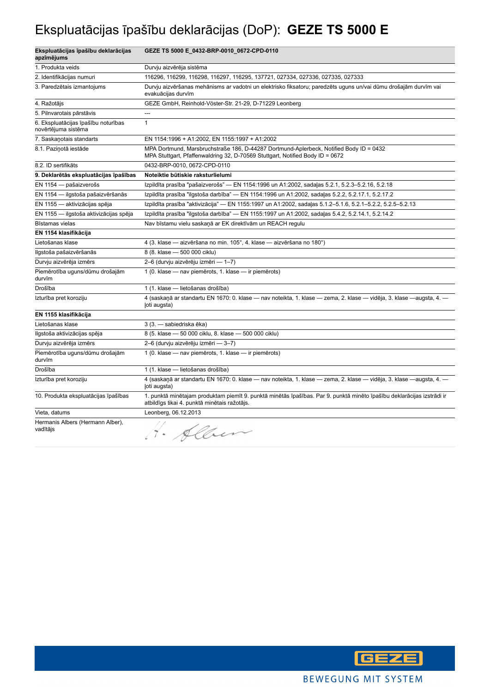# Ekspluatācijas īpašību deklarācijas (DoP): **GEZE TS 5000 E**

| Ekspluatācijas īpašību deklarācijas<br>apzīmējums          | GEZE TS 5000 E_0432-BRP-0010_0672-CPD-0110                                                                                                                              |
|------------------------------------------------------------|-------------------------------------------------------------------------------------------------------------------------------------------------------------------------|
| 1. Produkta veids                                          | Durvju aizvērēja sistēma                                                                                                                                                |
| 2. Identifikācijas numuri                                  | 116296, 116299, 116298, 116297, 116295, 137721, 027334, 027336, 027335, 027333                                                                                          |
| 3. Paredzētais izmantojums                                 | Durvju aizvēršanas mehānisms ar vadotni un elektrisko fiksatoru; paredzēts uguns un/vai dūmu drošajām durvīm vai<br>evakuācijas durvīm                                  |
| 4. Ražotājs                                                | GEZE GmbH, Reinhold-Vöster-Str. 21-29, D-71229 Leonberg                                                                                                                 |
| 5. Pilnvarotais pārstāvis                                  | ---                                                                                                                                                                     |
| 6. Ekspluatācijas īpašību noturības<br>novērtējuma sistēma | $\mathbf{1}$                                                                                                                                                            |
| 7. Saskanotais standarts                                   | EN 1154:1996 + A1:2002, EN 1155:1997 + A1:2002                                                                                                                          |
| 8.1. Pazinotā iestāde                                      | MPA Dortmund, Marsbruchstraße 186, D-44287 Dortmund-Aplerbeck, Notified Body ID = 0432<br>MPA Stuttgart, Pfaffenwaldring 32, D-70569 Stuttgart, Notified Body ID = 0672 |
| 8.2. ID sertifikāts                                        | 0432-BRP-0010, 0672-CPD-0110                                                                                                                                            |
| 9. Deklarētās ekspluatācijas īpašības                      | Noteiktie būtiskie raksturlielumi                                                                                                                                       |
| EN 1154 - pašaizverošs                                     | Izpildīta prasība "pašaizverošs" — EN 1154:1996 un A1:2002, sadaļas 5.2.1, 5.2.3-5.2.16, 5.2.18                                                                         |
| EN 1154 - ilgstoša pašaizvēršanās                          | Izpildīta prasība "ilgstoša darbība" — EN 1154:1996 un A1:2002, sadaļas 5.2.2, 5.2.17.1, 5.2.17.2                                                                       |
| EN 1155 - aktivizācijas spēja                              | Izpildīta prasība "aktivizācija" — EN 1155:1997 un A1:2002, sadaļas 5.1.2–5.1.6, 5.2.1–5.2.2, 5.2.5–5.2.13                                                              |
| EN 1155 - ilgstoša aktivizācijas spēja                     | Izpildīta prasība "ilgstoša darbība" — EN 1155:1997 un A1:2002, sadaļas 5.4.2, 5.2.14.1, 5.2.14.2                                                                       |
| Bīstamas vielas                                            | Nav bīstamu vielu saskaņā ar EK direktīvām un REACH regulu                                                                                                              |
| EN 1154 klasifikācija                                      |                                                                                                                                                                         |
| Lietošanas klase                                           | 4 (3. klase — aizvēršana no min. 105°, 4. klase — aizvēršana no 180°)                                                                                                   |
| Ilgstoša pašaizvēršanās                                    | 8 (8. klase - 500 000 ciklu)                                                                                                                                            |
| Durvju aizvērēja izmērs                                    | 2-6 (durvju aizvērēju izmēri — 1-7)                                                                                                                                     |
| Piemērotība uguns/dūmu drošajām<br>durvīm                  | 1 (0. klase - nav piemērots, 1. klase - ir piemērots)                                                                                                                   |
| Drošība                                                    | 1 (1. klase - lietošanas drošība)                                                                                                                                       |
| Izturība pret koroziju                                     | 4 (saskaņā ar standartu EN 1670: 0. klase — nav noteikta, 1. klase — zema, 2. klase — vidēja, 3. klase —augsta, 4. —<br>loti augsta)                                    |
| EN 1155 klasifikācija                                      |                                                                                                                                                                         |
| Lietošanas klase                                           | 3 (3. - sabiedriska ēka)                                                                                                                                                |
| Ilgstoša aktivizācijas spēja                               | 8 (5. klase - 50 000 ciklu, 8. klase - 500 000 ciklu)                                                                                                                   |
| Durvju aizvērēja izmērs                                    | 2-6 (durvju aizvērēju izmēri — 3-7)                                                                                                                                     |
| Piemērotība uguns/dūmu drošajām<br>durvīm                  | 1 (0. klase - nav piemērots, 1. klase - ir piemērots)                                                                                                                   |
| Drošība                                                    | 1 (1. klase - lietošanas drošība)                                                                                                                                       |
| Izturība pret koroziju                                     | 4 (saskaņā ar standartu EN 1670: 0. klase — nav noteikta, 1. klase — zema, 2. klase — vidēja, 3. klase —augsta, 4. —<br>(oti augsta)                                    |
| 10. Produkta ekspluatācijas īpašības                       | 1. punktā minētajam produktam piemīt 9. punktā minētās īpašības. Par 9. punktā minēto īpašību deklarācijas izstrādi ir<br>atbildīgs tikai 4. punktā minētais ražotājs.  |
| Vieta, datums                                              | Leonberg, 06.12.2013                                                                                                                                                    |
| Hermanis Albers (Hermann Alber),<br>vadītājs               | H. Alben                                                                                                                                                                |

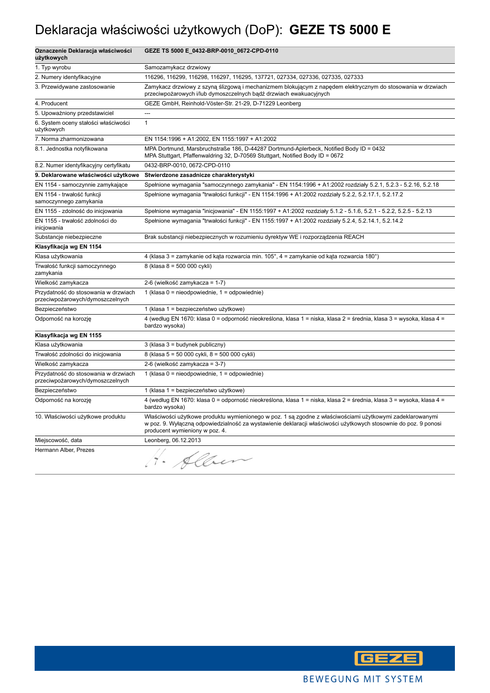# Deklaracja właściwości użytkowych (DoP): **GEZE TS 5000 E**

| Oznaczenie Deklaracja właściwości<br>użytkowych                          | GEZE TS 5000 E_0432-BRP-0010_0672-CPD-0110                                                                                                                                                                                                                     |
|--------------------------------------------------------------------------|----------------------------------------------------------------------------------------------------------------------------------------------------------------------------------------------------------------------------------------------------------------|
| 1. Typ wyrobu                                                            | Samozamykacz drzwiowy                                                                                                                                                                                                                                          |
| 2. Numery identyfikacyjne                                                | 116296, 116299, 116298, 116297, 116295, 137721, 027334, 027336, 027335, 027333                                                                                                                                                                                 |
| 3. Przewidywane zastosowanie                                             | Zamykacz drzwiowy z szyną ślizgową i mechanizmem blokującym z napędem elektrycznym do stosowania w drzwiach<br>przeciwpożarowych i/lub dymoszczelnych bądź drzwiach ewakuacyjnych                                                                              |
| 4. Producent                                                             | GEZE GmbH, Reinhold-Vöster-Str. 21-29, D-71229 Leonberg                                                                                                                                                                                                        |
| 5. Upoważniony przedstawiciel                                            | $\sim$                                                                                                                                                                                                                                                         |
| 6. System oceny stałości właściwości<br>użytkowych                       | $\mathbf{1}$                                                                                                                                                                                                                                                   |
| 7. Norma zharmonizowana                                                  | EN 1154:1996 + A1:2002, EN 1155:1997 + A1:2002                                                                                                                                                                                                                 |
| 8.1. Jednostka notyfikowana                                              | MPA Dortmund, Marsbruchstraße 186, D-44287 Dortmund-Aplerbeck, Notified Body ID = 0432<br>MPA Stuttgart, Pfaffenwaldring 32, D-70569 Stuttgart, Notified Body ID = 0672                                                                                        |
| 8.2. Numer identyfikacyjny certyfikatu                                   | 0432-BRP-0010, 0672-CPD-0110                                                                                                                                                                                                                                   |
| 9. Deklarowane właściwości użytkowe                                      | Stwierdzone zasadnicze charakterystyki                                                                                                                                                                                                                         |
| EN 1154 - samoczynnie zamykające                                         | Spełnione wymagania "samoczynnego zamykania" - EN 1154:1996 + A1:2002 rozdziały 5.2.1, 5.2.3 - 5.2.16, 5.2.18                                                                                                                                                  |
| EN 1154 - trwałość funkcji<br>samoczynnego zamykania                     | Spełnione wymagania "trwałości funkcji" - EN 1154:1996 + A1:2002 rozdziały 5.2.2, 5.2.17.1, 5.2.17.2                                                                                                                                                           |
| EN 1155 - zdolność do inicjowania                                        | Spełnione wymagania "inicjowania" - EN 1155:1997 + A1:2002 rozdziały 5.1.2 - 5.1.6, 5.2.1 - 5.2.2, 5.2.5 - 5.2.13                                                                                                                                              |
| EN 1155 - trwałość zdolności do<br>inicjowania                           | Spełnione wymagania "trwałości funkcji" - EN 1155:1997 + A1:2002 rozdziały 5.2.4, 5.2.14.1, 5.2.14.2                                                                                                                                                           |
| Substancje niebezpieczne                                                 | Brak substancji niebezpiecznych w rozumieniu dyrektyw WE i rozporządzenia REACH                                                                                                                                                                                |
| Klasyfikacja wg EN 1154                                                  |                                                                                                                                                                                                                                                                |
| Klasa użytkowania                                                        | 4 (klasa 3 = zamykanie od kąta rozwarcia min. 105°, 4 = zamykanie od kąta rozwarcia 180°)                                                                                                                                                                      |
| Trwałość funkcji samoczynnego<br>zamykania                               | 8 (klasa 8 = 500 000 cykli)                                                                                                                                                                                                                                    |
| Wielkość zamykacza                                                       | 2-6 (wielkość zamykacza = 1-7)                                                                                                                                                                                                                                 |
| Przydatność do stosowania w drzwiach<br>przeciwpożarowych/dymoszczelnych | 1 (klasa $0 =$ nieodpowiednie, $1 =$ odpowiednie)                                                                                                                                                                                                              |
| Bezpieczeństwo                                                           | 1 (klasa 1 = bezpieczeństwo użytkowe)                                                                                                                                                                                                                          |
| Odporność na korozję                                                     | 4 (według EN 1670: klasa 0 = odporność nieokreślona, klasa 1 = niska, klasa 2 = średnia, klasa 3 = wysoka, klasa 4 =<br>bardzo wysoka)                                                                                                                         |
| Klasyfikacja wg EN 1155                                                  |                                                                                                                                                                                                                                                                |
| Klasa użytkowania                                                        | $3$ (klasa $3$ = budynek publiczny)                                                                                                                                                                                                                            |
| Trwałość zdolności do inicjowania                                        | 8 (klasa 5 = 50 000 cykli, 8 = 500 000 cykli)                                                                                                                                                                                                                  |
| Wielkość zamykacza                                                       | 2-6 (wielkość zamykacza = 3-7)                                                                                                                                                                                                                                 |
| Przydatność do stosowania w drzwiach<br>przeciwpożarowych/dymoszczelnych | 1 (klasa $0 =$ nieodpowiednie, $1 =$ odpowiednie)                                                                                                                                                                                                              |
| Bezpieczeństwo                                                           | 1 (klasa 1 = bezpieczeństwo użytkowe)                                                                                                                                                                                                                          |
| Odporność na korozję                                                     | 4 (według EN 1670: klasa 0 = odporność nieokreślona, klasa 1 = niska, klasa 2 = średnia, klasa 3 = wysoka, klasa 4 =<br>bardzo wysoka)                                                                                                                         |
| 10. Właściwości użytkowe produktu                                        | Właściwości użytkowe produktu wymienionego w poz. 1 są zgodne z właściwościami użytkowymi zadeklarowanymi<br>w poz. 9. Wyłączną odpowiedzialność za wystawienie deklaracji właściwości użytkowych stosownie do poz. 9 ponosi<br>producent wymieniony w poz. 4. |
| Miejscowość, data                                                        | Leonberg, 06.12.2013                                                                                                                                                                                                                                           |
| Hermann Alber, Prezes                                                    | H. Alber                                                                                                                                                                                                                                                       |

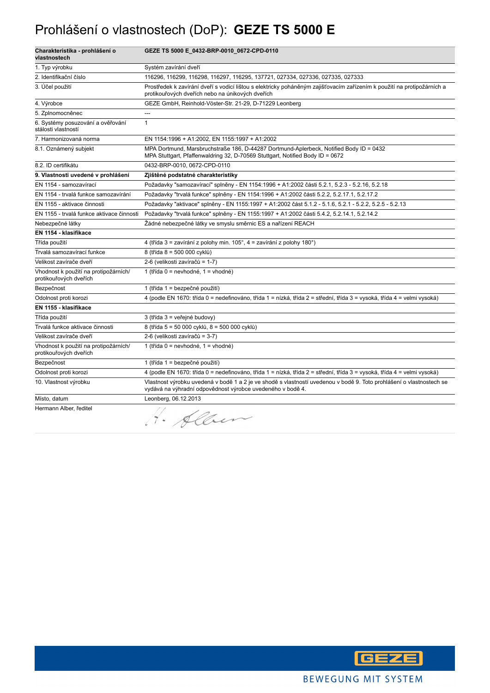#### Prohlášení o vlastnostech (DoP): **GEZE TS 5000 E**

| Charakteristika - prohlášení o<br>vlastnostech                  | GEZE TS 5000 E_0432-BRP-0010_0672-CPD-0110                                                                                                                                         |
|-----------------------------------------------------------------|------------------------------------------------------------------------------------------------------------------------------------------------------------------------------------|
| 1. Typ výrobku                                                  | Systém zavírání dveří                                                                                                                                                              |
| 2. Identifikační číslo                                          | 116296, 116299, 116298, 116297, 116295, 137721, 027334, 027336, 027335, 027333                                                                                                     |
| 3. Účel použití                                                 | Prostředek k zavírání dveří s vodicí lištou s elektricky poháněným zajišťovacím zařízením k použití na protipožárních a<br>protikouřových dveřích nebo na únikových dveřích        |
| 4. Výrobce                                                      | GEZE GmbH, Reinhold-Vöster-Str. 21-29, D-71229 Leonberg                                                                                                                            |
| 5. Zplnomocněnec                                                |                                                                                                                                                                                    |
| 6. Systémy posuzování a ověřování<br>stálosti vlastností        | $\mathbf{1}$                                                                                                                                                                       |
| 7. Harmonizovaná norma                                          | EN 1154:1996 + A1:2002, EN 1155:1997 + A1:2002                                                                                                                                     |
| 8.1. Oznámený subjekt                                           | MPA Dortmund, Marsbruchstraße 186, D-44287 Dortmund-Aplerbeck, Notified Body ID = 0432<br>MPA Stuttgart, Pfaffenwaldring 32, D-70569 Stuttgart, Notified Body ID = 0672            |
| 8.2. ID certifikátu                                             | 0432-BRP-0010, 0672-CPD-0110                                                                                                                                                       |
| 9. Vlastnosti uvedené v prohlášení                              | Zjištěné podstatné charakteristiky                                                                                                                                                 |
| EN 1154 - samozavírací                                          | Požadavky "samozavírací" splněny - EN 1154:1996 + A1:2002 části 5.2.1, 5.2.3 - 5.2.16, 5.2.18                                                                                      |
| EN 1154 - trvalá funkce samozavírání                            | Požadavky "trvalá funkce" splněny - EN 1154:1996 + A1:2002 části 5.2.2, 5.2.17.1, 5.2.17.2                                                                                         |
| EN 1155 - aktivace činnosti                                     | Požadavky "aktivace" splněny - EN 1155:1997 + A1:2002 část 5.1.2 - 5.1.6, 5.2.1 - 5.2.2, 5.2.5 - 5.2.13                                                                            |
| EN 1155 - trvalá funkce aktivace činnosti                       | Požadavky "trvalá funkce" splněny - EN 1155:1997 + A1:2002 části 5.4.2, 5.2.14.1, 5.2.14.2                                                                                         |
| Nebezpečné látky                                                | Žádné nebezpečné látky ve smyslu směrnic ES a nařízení REACH                                                                                                                       |
| EN 1154 - klasifikace                                           |                                                                                                                                                                                    |
| Třída použití                                                   | 4 (třída 3 = zavírání z polohy min. 105°, 4 = zavírání z polohy 180°)                                                                                                              |
| Trvalá samozavírací funkce                                      | 8 (třída 8 = 500 000 cyklů)                                                                                                                                                        |
| Velikost zavírače dveří                                         | 2-6 (velikosti zavíračů = 1-7)                                                                                                                                                     |
| Vhodnost k použití na protipožárních/<br>protikouřových dveřích | 1 (třída 0 = nevhodné, 1 = vhodné)                                                                                                                                                 |
| Bezpečnost                                                      | 1 (třída 1 = bezpečné použití)                                                                                                                                                     |
| Odolnost proti korozi                                           | 4 (podle EN 1670: třída 0 = nedefinováno, třída 1 = nízká, třída 2 = střední, třída 3 = vysoká, třída 4 = velmi vysoká)                                                            |
| EN 1155 - klasifikace                                           |                                                                                                                                                                                    |
| Třída použití                                                   | 3 (třída 3 = veřejné budovy)                                                                                                                                                       |
| Trvalá funkce aktivace činnosti                                 | 8 (třída 5 = 50 000 cyklů, 8 = 500 000 cyklů)                                                                                                                                      |
| Velikost zavírače dveří                                         | 2-6 (velikosti zavíračů = 3-7)                                                                                                                                                     |
| Vhodnost k použití na protipožárních/<br>protikouřových dveřích | 1 (třída 0 = nevhodné, 1 = vhodné)                                                                                                                                                 |
| Bezpečnost                                                      | 1 (třída 1 = bezpečné použití)                                                                                                                                                     |
| Odolnost proti korozi                                           | 4 (podle EN 1670: třída 0 = nedefinováno, třída 1 = nízká, třída 2 = střední, třída 3 = vysoká, třída 4 = velmi vysoká)                                                            |
| 10. Vlastnost výrobku                                           | Vlastnost výrobku uvedená v bodě 1 a 2 je ve shodě s vlastností uvedenou v bodě 9. Toto prohlášení o vlastnostech se<br>vydává na výhradní odpovědnost výrobce uvedeného v bodě 4. |
| Místo, datum                                                    | Leonberg, 06.12.2013                                                                                                                                                               |
| Hermann Alber, ředitel                                          | H. Alben                                                                                                                                                                           |

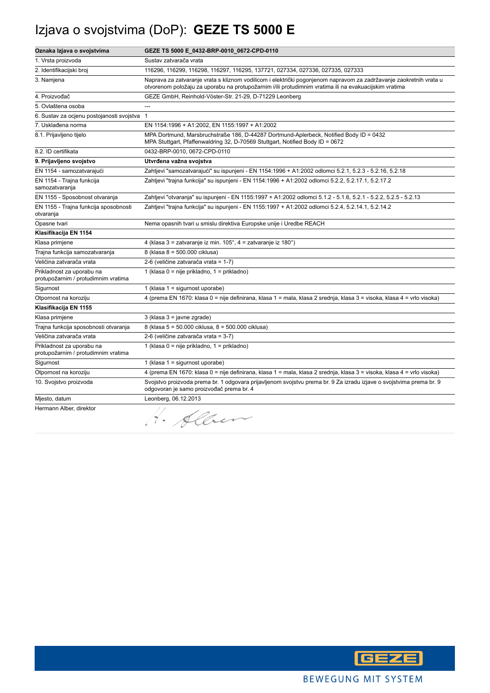# Izjava o svojstvima (DoP): **GEZE TS 5000 E**

| Oznaka Izjava o svojstvima                                       | GEZE TS 5000 E_0432-BRP-0010_0672-CPD-0110                                                                                                                                                                                  |
|------------------------------------------------------------------|-----------------------------------------------------------------------------------------------------------------------------------------------------------------------------------------------------------------------------|
| 1. Vrsta proizvoda                                               | Sustav zatvarača vrata                                                                                                                                                                                                      |
| 2. Identifikacijski broj                                         | 116296, 116299, 116298, 116297, 116295, 137721, 027334, 027336, 027335, 027333                                                                                                                                              |
| 3. Namjena                                                       | Naprava za zatvaranje vrata s kliznom vodilicom i električki pogonjenom napravom za zadržavanje zaokretnih vrata u<br>otvorenom položaju za uporabu na protupožarnim i/ili protudimnim vratima ili na evakuacijskim vratima |
| 4. Proizvođač                                                    | GEZE GmbH, Reinhold-Vöster-Str. 21-29, D-71229 Leonberg                                                                                                                                                                     |
| 5. Ovlaštena osoba                                               |                                                                                                                                                                                                                             |
| 6. Sustav za ocjenu postojanosti svojstva                        | $\overline{1}$                                                                                                                                                                                                              |
| 7. Usklađena norma                                               | EN 1154:1996 + A1:2002, EN 1155:1997 + A1:2002                                                                                                                                                                              |
| 8.1. Prijavljeno tijelo                                          | MPA Dortmund, Marsbruchstraße 186, D-44287 Dortmund-Aplerbeck, Notified Body ID = 0432<br>MPA Stuttgart, Pfaffenwaldring 32, D-70569 Stuttgart, Notified Body ID = 0672                                                     |
| 8.2. ID certifikata                                              | 0432-BRP-0010, 0672-CPD-0110                                                                                                                                                                                                |
| 9. Prijavljeno svojstvo                                          | Utvrđena važna svojstva                                                                                                                                                                                                     |
| EN 1154 - samozatvarajući                                        | Zahtjevi "samozatvarajući" su ispunjeni - EN 1154:1996 + A1:2002 odlomci 5.2.1, 5.2.3 - 5.2.16, 5.2.18                                                                                                                      |
| EN 1154 - Trajna funkcija<br>samozatvaranja                      | Zahtjevi "trajna funkcija" su ispunjeni - EN 1154:1996 + A1:2002 odlomci 5.2.2, 5.2.17.1, 5.2.17.2                                                                                                                          |
| EN 1155 - Sposobnost otvaranja                                   | Zahtjevi "otvaranja" su ispunjeni - EN 1155:1997 + A1:2002 odlomci 5.1.2 - 5.1.6, 5.2.1 - 5.2.2, 5.2.5 - 5.2.13                                                                                                             |
| EN 1155 - Trajna funkcija sposobnosti<br>otvaranja               | Zahtjevi "trajna funkcija" su ispunjeni - EN 1155:1997 + A1:2002 odlomci 5.2.4, 5.2.14.1, 5.2.14.2                                                                                                                          |
| Opasne tvari                                                     | Nema opasnih tvari u smislu direktiva Europske unije i Uredbe REACH                                                                                                                                                         |
| Klasifikacija EN 1154                                            |                                                                                                                                                                                                                             |
| Klasa primjene                                                   | 4 (klasa 3 = zatvaranje iz min. 105°, 4 = zatvaranje iz 180°)                                                                                                                                                               |
| Trajna funkcija samozatvaranja                                   | 8 (klasa 8 = 500.000 ciklusa)                                                                                                                                                                                               |
| Veličina zatvarača vrata                                         | 2-6 (veličine zatvarača vrata = 1-7)                                                                                                                                                                                        |
| Prikladnost za uporabu na<br>protupožarnim / protudimnim vratima | 1 (klasa 0 = nije prikladno, 1 = prikladno)                                                                                                                                                                                 |
| Sigurnost                                                        | 1 (klasa $1 =$ sigurnost uporabe)                                                                                                                                                                                           |
| Otpornost na koroziju                                            | 4 (prema EN 1670: klasa 0 = nije definirana, klasa 1 = mala, klasa 2 srednja, klasa 3 = visoka, klasa 4 = vrlo visoka)                                                                                                      |
| Klasifikacija EN 1155                                            |                                                                                                                                                                                                                             |
| Klasa primjene                                                   | 3 (klasa 3 = javne zgrade)                                                                                                                                                                                                  |
| Trajna funkcija sposobnosti otvaranja                            | 8 (klasa 5 = 50.000 ciklusa, 8 = 500.000 ciklusa)                                                                                                                                                                           |
| Veličina zatvarača vrata                                         | 2-6 (veličine zatvarača vrata = 3-7)                                                                                                                                                                                        |
| Prikladnost za uporabu na<br>protupožarnim / protudimnim vratima | 1 (klasa 0 = nije prikladno, 1 = prikladno)                                                                                                                                                                                 |
| Sigurnost                                                        | 1 (klasa 1 = sigurnost uporabe)                                                                                                                                                                                             |
| Otpornost na koroziju                                            | 4 (prema EN 1670: klasa 0 = nije definirana, klasa 1 = mala, klasa 2 srednja, klasa 3 = visoka, klasa 4 = vrlo visoka)                                                                                                      |
| 10. Svojstvo proizvoda                                           | Svojstvo proizvoda prema br. 1 odgovara prijavljenom svojstvu prema br. 9 Za izradu izjave o svojstvima prema br. 9<br>odgovoran je samo proizvođač prema br. 4                                                             |
| Mjesto, datum                                                    | Leonberg, 06.12.2013                                                                                                                                                                                                        |
| Hermann Alber, direktor                                          | Alber                                                                                                                                                                                                                       |